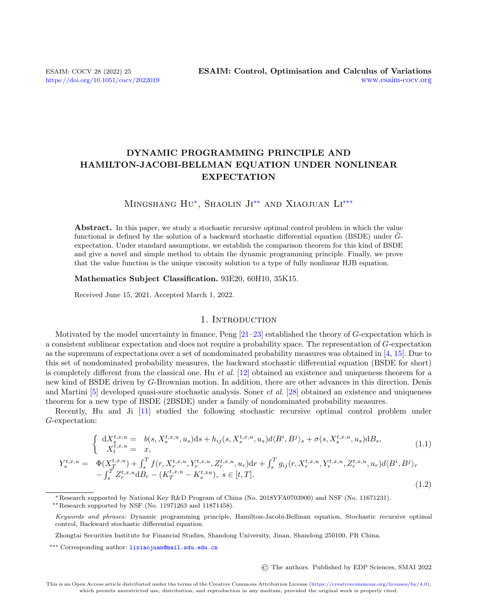# DYNAMIC PROGRAMMING PRINCIPLE AND HAMILTON-JACOBI-BELLMAN EQUATION UNDER NONLINEAR EXPECTATION

# MINGSHANG HU<sup>\*</sup>, SHAOLIN JI<sup>\*\*</sup> AND XIAOJUAN LI<sup>[\\*\\*\\*](#page-0-0)</sup>

Abstract. In this paper, we study a stochastic recursive optimal control problem in which the value functional is defined by the solution of a backward stochastic differential equation (BSDE) under  $\tilde{G}$ expectation. Under standard assumptions, we establish the comparison theorem for this kind of BSDE and give a novel and simple method to obtain the dynamic programming principle. Finally, we prove that the value function is the unique viscosity solution to a type of fully nonlinear HJB equation.

Mathematics Subject Classification. 93E20, 60H10, 35K15.

Received June 15, 2021. Accepted March 1, 2022.

## 1. Introduction

Motivated by the model uncertainty in finance,  $Peng [21-23]$  $Peng [21-23]$  established the theory of G-expectation which is a consistent sublinear expectation and does not require a probability space. The representation of G-expectation as the supremum of expectations over a set of nondominated probability measures was obtained in [\[4,](#page-19-2) [15\]](#page-19-3). Due to this set of nondominated probability measures, the backward stochastic differential equation (BSDE for short) is completely different from the classical one. Hu et al.  $[12]$  obtained an existence and uniqueness theorem for a new kind of BSDE driven by G-Brownian motion. In addition, there are other advances in this direction. Denis and Martini [\[5\]](#page-19-5) developed quasi-sure stochastic analysis. Soner et al. [\[28\]](#page-20-0) obtained an existence and uniqueness theorem for a new type of BSDE (2BSDE) under a family of nondominated probability measures.

Recently, Hu and Ji [\[11\]](#page-19-6) studied the following stochastic recursive optimal control problem under G-expectation:

<span id="page-0-1"></span>
$$
\begin{cases} dX_s^{t,x,u} = b(s, X_s^{t,x,u}, u_s)ds + h_{ij}(s, X_s^{t,x,u}, u_s)d\langle B^i, B^j\rangle_s + \sigma(s, X_s^{t,x,u}, u_s)dB_s, \\ X_t^{t,x,u} = x, \end{cases} \tag{1.1}
$$

<span id="page-0-2"></span>
$$
Y_{s}^{t,x,u} = \Phi(X_{T}^{t,x,u}) + \int_{s}^{T} f(r, X_{r}^{t,x,u}, Y_{r}^{t,x,u}, Z_{r}^{t,x,u}, u_{r}) dr + \int_{s}^{T} g_{ij}(r, X_{r}^{t,x,u}, Y_{r}^{t,x,u}, Z_{r}^{t,x,u}, u_{r}) d\langle B^{i}, B^{j} \rangle_{r}
$$

$$
- \int_{s}^{T} Z_{r}^{t,x,u} dB_{r} - (K_{T}^{t,x,u} - K_{s}^{t,xu}), \ s \in [t, T].
$$
\n(1.2)

∗∗Research supported by NSF (No. 11971263 and 11871458).

© The authors. Published by EDP Sciences, SMAI 2022

<sup>∗</sup>Research supported by National Key R&D Program of China (No. 2018YFA0703900) and NSF (No. 11671231).

<span id="page-0-0"></span>Keywords and phrases: Dynamic programming principle, Hamilton-Jacobi-Bellman equation, Stochastic recursive optimal control, Backward stochastic differential equation.

Zhongtai Securities Institute for Financial Studies, Shandong University, Jinan, Shandong 250100, PR China.

<sup>\*\*\*</sup> Corresponding author: [lixiaojuan@mail.sdu.edu.cn](mailto:lixiaojuan@mail.sdu.edu.cn)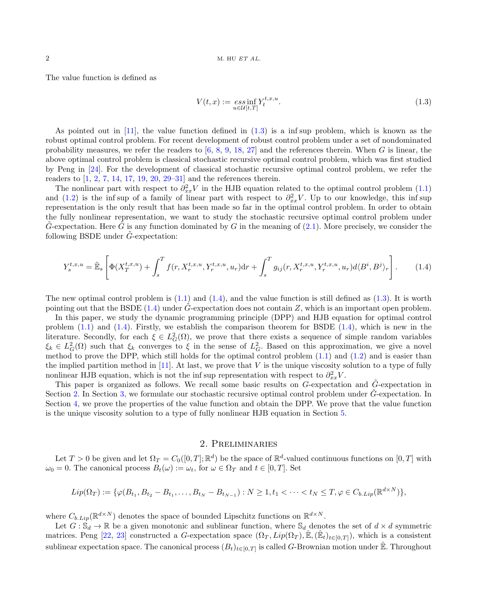The value function is defined as

<span id="page-1-0"></span>
$$
V(t,x) := \underset{u \in \mathcal{U}[t,T]}{\operatorname{ess\,inf}} Y_t^{t,x,u}.
$$
\n
$$
(1.3)
$$

As pointed out in  $[11]$ , the value function defined in  $(1.3)$  is a inf sup problem, which is known as the robust optimal control problem. For recent development of robust control problem under a set of nondominated probability measures, we refer the readers to  $[6, 8, 9, 18, 27]$  $[6, 8, 9, 18, 27]$  $[6, 8, 9, 18, 27]$  $[6, 8, 9, 18, 27]$  $[6, 8, 9, 18, 27]$  $[6, 8, 9, 18, 27]$  $[6, 8, 9, 18, 27]$  $[6, 8, 9, 18, 27]$  $[6, 8, 9, 18, 27]$  and the references therein. When G is linear, the above optimal control problem is classical stochastic recursive optimal control problem, which was first studied by Peng in [\[24\]](#page-19-11). For the development of classical stochastic recursive optimal control problem, we refer the readers to [\[1,](#page-19-12) [2,](#page-19-13) [7,](#page-19-14) [14,](#page-19-15) [17,](#page-19-16) [19,](#page-19-17) [20,](#page-19-18) [29–](#page-20-2)[31\]](#page-20-3) and the references therein.

The nonlinear part with respect to  $\partial_{xx}^2 V$  in the HJB equation related to the optimal control problem [\(1.1\)](#page-0-1) and [\(1.2\)](#page-0-2) is the inf sup of a family of linear part with respect to  $\partial_{xx}^2 V$ . Up to our knowledge, this inf sup representation is the only result that has been made so far in the optimal control problem. In order to obtain the fully nonlinear representation, we want to study the stochastic recursive optimal control problem under G-expectation. Here G is any function dominated by G in the meaning of  $(2.1)$ . More precisely, we consider the following BSDE under  $G$ -expectation:

<span id="page-1-1"></span>
$$
Y_s^{t,x,u} = \tilde{\mathbb{E}}_s \left[ \Phi(X_T^{t,x,u}) + \int_s^T f(r, X_r^{t,x,u}, Y_r^{t,x,u}, u_r) dr + \int_s^T g_{ij}(r, X_r^{t,x,u}, Y_r^{t,x,u}, u_r) d\langle B^i, B^j \rangle_r \right].
$$
 (1.4)

The new optimal control problem is  $(1.1)$  and  $(1.4)$ , and the value function is still defined as  $(1.3)$ . It is worth pointing out that the BSDE [\(1.4\)](#page-1-1) under  $\tilde{G}$ -expectation does not contain Z, which is an important open problem.

In this paper, we study the dynamic programming principle (DPP) and HJB equation for optimal control problem  $(1.1)$  and  $(1.4)$ . Firstly, we establish the comparison theorem for BSDE  $(1.4)$ , which is new in the literature. Secondly, for each  $\xi \in L_G^2(\Omega)$ , we prove that there exists a sequence of simple random variables  $\xi_k \in L_G^2(\Omega)$  such that  $\xi_k$  converges to  $\xi$  in the sense of  $L_G^2$ . Based on this approximation, we give a novel method to prove the DPP, which still holds for the optimal control problem [\(1.1\)](#page-0-1) and [\(1.2\)](#page-0-2) and is easier than the implied partition method in [\[11\]](#page-19-6). At last, we prove that  $V$  is the unique viscosity solution to a type of fully nonlinear HJB equation, which is not the inf sup representation with respect to  $\partial_{xx}^2 V$ .

This paper is organized as follows. We recall some basic results on  $G$ -expectation and  $\tilde{G}$ -expectation in Section [2.](#page-1-2) In Section [3,](#page-3-0) we formulate our stochastic recursive optimal control problem under G-expectation. In Section [4,](#page-4-0) we prove the properties of the value function and obtain the DPP. We prove that the value function is the unique viscosity solution to a type of fully nonlinear HJB equation in Section [5.](#page-13-0)

## 2. Preliminaries

<span id="page-1-2"></span>Let  $T > 0$  be given and let  $\Omega_T = C_0([0, T]; \mathbb{R}^d)$  be the space of  $\mathbb{R}^d$ -valued continuous functions on  $[0, T]$  with  $\omega_0 = 0$ . The canonical process  $B_t(\omega) := \omega_t$ , for  $\omega \in \Omega_T$  and  $t \in [0, T]$ . Set

$$
Lip(\Omega_T) := \{ \varphi(B_{t_1}, B_{t_2} - B_{t_1}, \dots, B_{t_N} - B_{t_{N-1}}) : N \ge 1, t_1 < \dots < t_N \le T, \varphi \in C_{b.Lip}(\mathbb{R}^{d \times N}) \},
$$

where  $C_{b.Lip}(\mathbb{R}^{d\times N})$  denotes the space of bounded Lipschitz functions on  $\mathbb{R}^{d\times N}$ .

Let  $G: \mathbb{S}_d \to \mathbb{R}$  be a given monotonic and sublinear function, where  $\mathbb{S}_d$  denotes the set of  $d \times d$  symmetric matrices. Peng [\[22,](#page-19-19) [23\]](#page-19-1) constructed a G-expectation space  $(\Omega_T, Lip(\Omega_T), \hat{\mathbb{E}}, (\hat{\mathbb{E}}_t)_{t\in[0,T]})$ , which is a consistent sublinear expectation space. The canonical process  $(B_t)_{t\in[0,T]}$  is called G-Brownian motion under  $\mathbb{\hat{E}}$ . Throughout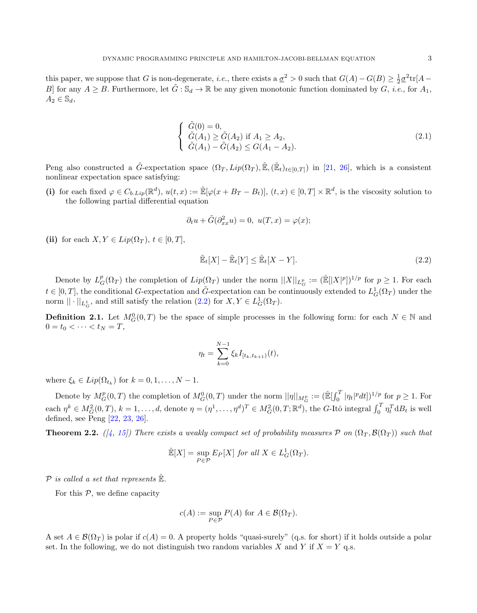this paper, we suppose that G is non-degenerate, *i.e.*, there exists a  $\underline{\sigma}^2 > 0$  such that  $G(A) - G(B) \geq \frac{1}{2} \underline{\sigma}^2 \text{tr}[A -$ B] for any  $A \geq B$ . Furthermore, let  $\tilde{G}: \mathbb{S}_d \to \mathbb{R}$  be any given monotonic function dominated by  $G$ , *i.e.*, for  $A_1$ ,  $A_2 \in \mathbb{S}_d$ ,

<span id="page-2-0"></span>
$$
\begin{cases}\n\tilde{G}(0) = 0, \\
\tilde{G}(A_1) \ge \tilde{G}(A_2) \text{ if } A_1 \ge A_2, \\
\tilde{G}(A_1) - \tilde{G}(A_2) \le G(A_1 - A_2).\n\end{cases}
$$
\n(2.1)

Peng also constructed a  $\tilde{G}$ -expectation space  $(\Omega_T, Lip(\Omega_T), \tilde{\mathbb{E}}, (\tilde{\mathbb{E}}_t)_{t\in[0,T]})$  in [\[21,](#page-19-0) [26\]](#page-20-4), which is a consistent nonlinear expectation space satisfying:

(i) for each fixed  $\varphi \in C_{b.Lip}(\mathbb{R}^d)$ ,  $u(t,x) := \mathbb{E}[\varphi(x + B_T - B_t)], (t,x) \in [0,T] \times \mathbb{R}^d$ , is the viscosity solution to the following partial differential equation

$$
\partial_t u + \tilde{G}(\partial_{xx}^2 u) = 0, \ u(T, x) = \varphi(x);
$$

(ii) for each  $X, Y \in Lip(\Omega_T)$ ,  $t \in [0, T]$ ,

<span id="page-2-1"></span>
$$
\tilde{\mathbb{E}}_t[X] - \tilde{\mathbb{E}}_t[Y] \le \hat{\mathbb{E}}_t[X - Y].\tag{2.2}
$$

Denote by  $L_G^p(\Omega_T)$  the completion of  $Lip(\Omega_T)$  under the norm  $||X||_{L_G^p} := (\mathbb{E}[|X|^p])^{1/p}$  for  $p \geq 1$ . For each  $t \in [0,T]$ , the conditional G-expectation and  $\tilde{G}$ -expectation can be continuously extended to  $L_G^1(\Omega_T)$  under the norm  $|| \cdot ||_{L^1_G}$ , and still satisfy the relation  $(2.2)$  for  $X, Y \in L^1_G(\Omega_T)$ .

**Definition 2.1.** Let  $M_G^0(0,T)$  be the space of simple processes in the following form: for each  $N \in \mathbb{N}$  and  $0 = t_0 < \cdots < t_N = T,$ 

$$
\eta_t = \sum_{k=0}^{N-1} \xi_k I_{[t_k, t_{k+1})}(t),
$$

where  $\xi_k \in Lip(\Omega_{t_k})$  for  $k = 0, 1, ..., N - 1$ .

Denote by  $M_G^p(0,T)$  the completion of  $M_G^0(0,T)$  under the norm  $||\eta||_{M_G^p} := (\mathbb{E}[\int_0^T |\eta_t|^p dt])^{1/p}$  for  $p \ge 1$ . For each  $\eta^k \in M_G^2(0,T)$ ,  $k = 1, ..., d$ , denote  $\eta = (\eta^1, ..., \eta^d)^T \in M_G^2(0,T; \mathbb{R}^d)$ , the G-Itô integral  $\int_0^T \eta_t^T dB_t$  is well defined, see Peng [\[22,](#page-19-19) [23,](#page-19-1) [26\]](#page-20-4).

**Theorem 2.2.** ([\[4,](#page-19-2) [15\]](#page-19-3)) There exists a weakly compact set of probability measures  $P$  on  $(\Omega_T, \mathcal{B}(\Omega_T))$  such that

$$
\mathbb{E}[X] = \sup_{P \in \mathcal{P}} E_P[X] \text{ for all } X \in L_G^1(\Omega_T).
$$

 $P$  is called a set that represents  $\mathbb{E}$ .

For this  $P$ , we define capacity

$$
c(A) := \sup_{P \in \mathcal{P}} P(A) \text{ for } A \in \mathcal{B}(\Omega_T).
$$

A set  $A \in \mathcal{B}(\Omega_T)$  is polar if  $c(A) = 0$ . A property holds "quasi-surely" (q.s. for short) if it holds outside a polar set. In the following, we do not distinguish two random variables X and Y if  $X = Y$  q.s.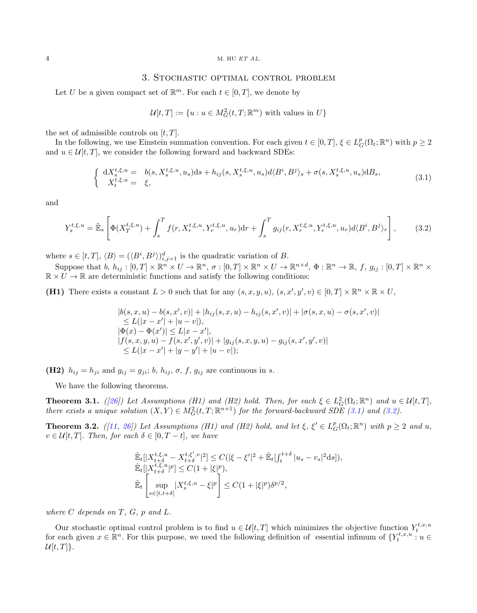#### 4 M. HU ET AL.

#### 3. Stochastic optimal control problem

<span id="page-3-0"></span>Let U be a given compact set of  $\mathbb{R}^m$ . For each  $t \in [0, T]$ , we denote by

$$
\mathcal{U}[t,T] := \{ u : u \in M_G^2(t,T;\mathbb{R}^m) \text{ with values in } U \}
$$

the set of admissible controls on  $[t, T]$ .

In the following, we use Einstein summation convention. For each given  $t \in [0, T]$ ,  $\xi \in L_G^p(\Omega_t; \mathbb{R}^n)$  with  $p \geq 2$ and  $u \in \mathcal{U}[t, T]$ , we consider the following forward and backward SDEs:

<span id="page-3-1"></span>
$$
\begin{cases} dX_s^{t,\xi,u} = b(s, X_s^{t,\xi,u}, u_s)ds + h_{ij}(s, X_s^{t,\xi,u}, u_s)d\langle B^i, B^j\rangle_s + \sigma(s, X_s^{t,\xi,u}, u_s)dB_s, \\ X_t^{t,\xi,u} = \xi, \end{cases} \tag{3.1}
$$

and

<span id="page-3-2"></span>
$$
Y_s^{t,\xi,u} = \tilde{\mathbb{E}}_s \left[ \Phi(X_T^{t,\xi,u}) + \int_s^T f(r, X_r^{t,\xi,u}, Y_r^{t,\xi,u}, u_r) dr + \int_s^T g_{ij}(r, X_r^{t,\xi,u}, Y_r^{t,\xi,u}, u_r) d\langle B^i, B^j \rangle_r \right],
$$
(3.2)

where  $s \in [t, T]$ ,  $\langle B \rangle = (\langle B^i, B^j \rangle)_{i,j=1}^d$  is the quadratic variation of B.

Suppose that  $b, h_{ij} : [0,T] \times \mathbb{R}^n \times U \to \mathbb{R}^n$ ,  $\sigma : [0,T] \times \mathbb{R}^n \times U \to \mathbb{R}^{n \times d}$ ,  $\Phi : \mathbb{R}^n \to \mathbb{R}$ ,  $f, g_{ij} : [0,T] \times \mathbb{R}^n \times U$  $\mathbb{R} \times U \to \mathbb{R}$  are deterministic functions and satisfy the following conditions:

(H1) There exists a constant  $L > 0$  such that for any  $(s, x, y, u), (s, x', y', v) \in [0, T] \times \mathbb{R}^n \times \mathbb{R} \times U$ ,

$$
|b(s, x, u) - b(s, x', v)| + |h_{ij}(s, x, u) - h_{ij}(s, x', v)| + |\sigma(s, x, u) - \sigma(s, x', v)|
$$
  
\n
$$
\leq L(|x - x'| + |u - v|),
$$
  
\n
$$
|\Phi(x) - \Phi(x')| \leq L|x - x'|,
$$
  
\n
$$
|f(s, x, y, u) - f(s, x', y', v)| + |g_{ij}(s, x, y, u) - g_{ij}(s, x', y', v)|
$$
  
\n
$$
\leq L(|x - x'| + |y - y'| + |u - v|);
$$

(H2)  $h_{ij} = h_{ji}$  and  $g_{ij} = g_{ji}$ ; b,  $h_{ij}$ ,  $\sigma$ , f,  $g_{ij}$  are continuous in s.

We have the following theorems.

**Theorem 3.1.** ([\[26\]](#page-20-4)) Let Assumptions (H1) and (H2) hold. Then, for each  $\xi \in L_G^2(\Omega_t; \mathbb{R}^n)$  and  $u \in \mathcal{U}[t, T]$ , there exists a unique solution  $(X, Y) \in M_G^2(t, T; \mathbb{R}^{n+1})$  for the forward-backward SDE [\(3.1\)](#page-3-1) and [\(3.2\)](#page-3-2).

<span id="page-3-3"></span>**Theorem 3.2.** ([\[11,](#page-19-6) [26\]](#page-20-4)) Let Assumptions (H1) and (H2) hold, and let  $\xi$ ,  $\xi' \in L_G^p(\Omega_t; \mathbb{R}^n)$  with  $p \ge 2$  and u,  $v \in \mathcal{U}[t,T]$ . Then, for each  $\delta \in [0,T-t]$ , we have

$$
\label{eq:21} \begin{aligned} &\hat{\mathbb{E}}_t[|X^{t,\xi,u}_{t+\delta}-X^{t,\xi',v}_{t+\delta}|^2] \leq C(|\xi-\xi'|^2+\hat{\mathbb{E}}_t[\int_t^{t+\delta}|u_s-v_s|^2\mathrm{d}s]),\\ &\hat{\mathbb{E}}_t[|X^{t,\xi,u}_{t+\delta}|^p] \leq C(1+|\xi|^p),\\ &\hat{\mathbb{E}}_t\left[\sup_{s\in[t,t+\delta]}|X^{t,\xi,u}_s-\xi|^p\right] \leq C(1+|\xi|^p)\delta^{p/2}, \end{aligned}
$$

where  $C$  depends on  $T$ ,  $G$ ,  $p$  and  $L$ .

Our stochastic optimal control problem is to find  $u \in \mathcal{U}[t,T]$  which minimizes the objective function  $Y_t^{t,x,u}$ for each given  $x \in \mathbb{R}^n$ . For this purpose, we need the following definition of essential infimum of  $\{Y_t^{t,x,u}: u \in$  $\mathcal{U}[t,T]$ .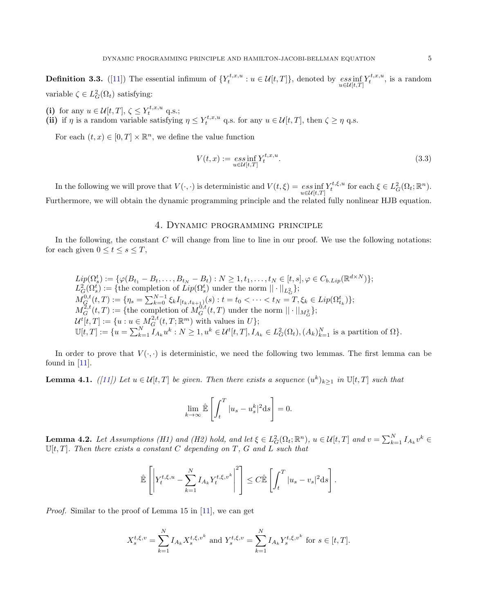<span id="page-4-1"></span>**Definition 3.3.** ([\[11\]](#page-19-6)) The essential infimum of  $\{Y_t^{t,x,u}: u \in \mathcal{U}[t,T]\}$ , denoted by  $\operatorname*{ess\,inf}_{u \in \mathcal{U}[t,T]} Y_t^{t,x,u}$ , is a random variable  $\zeta \in L_G^2(\Omega_t)$  satisfying:

(i) for any  $u \in \mathcal{U}[t,T], \zeta \leq Y_t^{t,x,u}$  q.s.;

(ii) if  $\eta$  is a random variable satisfying  $\eta \leq Y_t^{t,x,u}$  q.s. for any  $u \in \mathcal{U}[t,T]$ , then  $\zeta \geq \eta$  q.s.

For each  $(t, x) \in [0, T] \times \mathbb{R}^n$ , we define the value function

<span id="page-4-4"></span>
$$
V(t,x) := \underset{u \in \mathcal{U}[t,T]}{\operatorname{ess\,inf}} Y_t^{t,x,u}.
$$
\n(3.3)

In the following we will prove that  $V(\cdot, \cdot)$  is deterministic and  $V(t,\xi) = \operatorname*{ess\,inf}_{u \in \mathcal{U}[t,T]} Y_t^{t,\xi,u}$  for each  $\xi \in L^2_G(\Omega_t; \mathbb{R}^n)$ . Furthermore, we will obtain the dynamic programming principle and the related fully nonlinear HJB equation.

### 4. Dynamic programming principle

<span id="page-4-0"></span>In the following, the constant  $C$  will change from line to line in our proof. We use the following notations: for each given  $0 \le t \le s \le T$ ,

$$
Lip(\Omega_s^t) := \{ \varphi(B_{t_1} - B_t, \dots, B_{t_N} - B_t) : N \ge 1, t_1, \dots, t_N \in [t, s], \varphi \in C_{b.Lip}(\mathbb{R}^{d \times N}) \};
$$
  
\n
$$
L_G^2(\Omega_s^t) := \{ \text{the completion of } Lip(\Omega_s^t) \text{ under the norm } || \cdot ||_{L_G^2} \};
$$
  
\n
$$
M_G^{0,t}(t,T) := \{ \eta_s = \sum_{k=0}^{N-1} \xi_k I_{[t_k, t_{k+1})}(s) : t = t_0 < \dots < t_N = T, \xi_k \in Lip(\Omega_{t_k}^t) \};
$$
  
\n
$$
M_G^{2,t}(t,T) := \{ \text{the completion of } M_G^{0,t}(t,T) \text{ under the norm } || \cdot ||_{M_G^2} \};
$$
  
\n
$$
U^t[t,T] := \{ u : u \in M_G^{2,t}(t,T;\mathbb{R}^m) \text{ with values in } U \};
$$
  
\n
$$
\mathbb{U}[t,T] := \{ u = \sum_{k=1}^N I_{A_k} u^k : N \ge 1, u^k \in \mathcal{U}^t[t,T], I_{A_k} \in L_G^2(\Omega_t), (A_k)_{k=1}^N \text{ is a partition of } \Omega \}.
$$

In order to prove that  $V(\cdot, \cdot)$  is deterministic, we need the following two lemmas. The first lemma can be found in [\[11\]](#page-19-6).

<span id="page-4-2"></span>**Lemma 4.1.** ([\[11\]](#page-19-6)) Let  $u \in \mathcal{U}[t,T]$  be given. Then there exists a sequence  $(u^k)_{k\geq 1}$  in  $\mathbb{U}[t,T]$  such that

$$
\lim_{k \to \infty} \hat{\mathbb{E}} \left[ \int_t^T |u_s - u_s^k|^2 \mathrm{d}s \right] = 0.
$$

<span id="page-4-3"></span>**Lemma 4.2.** Let Assumptions (H1) and (H2) hold, and let  $\xi \in L_G^2(\Omega_t; \mathbb{R}^n)$ ,  $u \in \mathcal{U}[t,T]$  and  $v = \sum_{k=1}^N I_{A_k}v^k$  $\mathbb{U}[t,T]$ . Then there exists a constant C depending on T, G and L such that

$$
\hat{\mathbb{E}}\left[\left|Y_t^{t,\xi,u}-\sum_{k=1}^N I_{A_k}Y_t^{t,\xi,v^k}\right|^2\right]\leq C\hat{\mathbb{E}}\left[\int_t^T |u_s-v_s|^2\mathrm{d}s\right].
$$

Proof. Similar to the proof of Lemma 15 in [\[11\]](#page-19-6), we can get

$$
X_s^{t,\xi,v} = \sum_{k=1}^N I_{A_k} X_s^{t,\xi,v^k} \text{ and } Y_s^{t,\xi,v} = \sum_{k=1}^N I_{A_k} Y_s^{t,\xi,v^k} \text{ for } s \in [t,T].
$$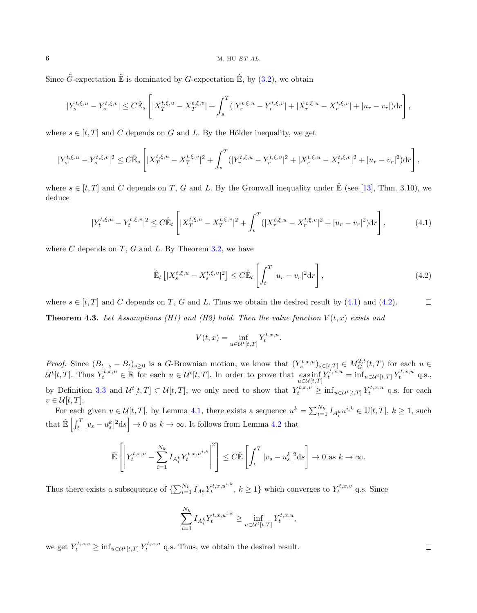#### $6$  M. HU  $ETAL$ .

Since  $\tilde{G}$ -expectation  $\tilde{\mathbb{E}}$  is dominated by  $G$ -expectation  $\hat{\mathbb{E}}$ , by  $(3.2)$ , we obtain

$$
|Y_s^{t,\xi,u}-Y_s^{t,\xi,v}|\leq C\hat{\mathbb{E}}_s\left[|X_T^{t,\xi,u}-X_T^{t,\xi,v}|+\int_s^T (|Y_r^{t,\xi,u}-Y_r^{t,\xi,v}|+|X_r^{t,\xi,u}-X_r^{t,\xi,v}|+|u_r-v_r|){\mathord{{\rm d}}} r\right],
$$

where  $s \in [t, T]$  and C depends on G and L. By the Hölder inequality, we get

$$
|Y_s^{t,\xi,u} - Y_s^{t,\xi,v}|^2 \leq C\hat{\mathbb{E}}_s \left[ |X_T^{t,\xi,u} - X_T^{t,\xi,v}|^2 + \int_s^T (|Y_r^{t,\xi,u} - Y_r^{t,\xi,v}|^2 + |X_r^{t,\xi,u} - X_r^{t,\xi,v}|^2 + |u_r - v_r|^2) dr \right],
$$

where  $s \in [t, T]$  and C depends on T, G and L. By the Gronwall inequality under  $\hat{\mathbb{E}}$  (see [\[13\]](#page-19-20), Thm. 3.10), we deduce

<span id="page-5-0"></span>
$$
|Y_t^{t,\xi,u} - Y_t^{t,\xi,v}|^2 \le C\hat{\mathbb{E}}_t \left[ |X_T^{t,\xi,u} - X_T^{t,\xi,v}|^2 + \int_t^T (|X_r^{t,\xi,u} - X_r^{t,\xi,v}|^2 + |u_r - v_r|^2) dr \right],\tag{4.1}
$$

where  $C$  depends on  $T$ ,  $G$  and  $L$ . By Theorem [3.2,](#page-3-3) we have

<span id="page-5-1"></span>
$$
\hat{\mathbb{E}}_t \left[ |X_s^{t,\xi,u} - X_s^{t,\xi,v}|^2 \right] \le C \hat{\mathbb{E}}_t \left[ \int_t^T |u_r - v_r|^2 \mathrm{d}r \right],\tag{4.2}
$$

<span id="page-5-2"></span>where  $s \in [t, T]$  and C depends on T, G and L. Thus we obtain the desired result by [\(4.1\)](#page-5-0) and [\(4.2\)](#page-5-1).  $\Box$ **Theorem 4.3.** Let Assumptions (H1) and (H2) hold. Then the value function  $V(t, x)$  exists and

$$
V(t,x) = \inf_{u \in \mathcal{U}^t[t,T]} Y_t^{t,x,u}.
$$

*Proof.* Since  $(B_{t+s} - B_t)_{s \geq 0}$  is a G-Brownian motion, we know that  $(Y_s^{t,x,u})_{s \in [t,T]} \in M_G^{2,t}(t,T)$  for each  $u \in$  $\mathcal{U}^{t}[t,T]$ . Thus  $Y_t^{t,x,u} \in \mathbb{R}$  for each  $u \in \mathcal{U}^{t}[t,T]$ . In order to prove that  $\operatorname*{ess\,inf}_{u \in \mathcal{U}[t,T]} Y_t^{t,x,u} = \operatorname*{inf}_{u \in \mathcal{U}^{t}[t,T]} Y_t^{t,x,u}$  q.s., by Definition [3.3](#page-4-1) and  $\mathcal{U}^t[t,T] \subset \mathcal{U}[t,T]$ , we only need to show that  $Y_t^{t,x,v} \geq \inf_{u \in \mathcal{U}^t[t,T]} Y_t^{t,x,u}$  q.s. for each  $v \in \mathcal{U}[t,T].$ 

For each given  $v \in \mathcal{U}[t,T]$ , by Lemma [4.1,](#page-4-2) there exists a sequence  $u^k = \sum_{i=1}^{N_k} I_{A_i^k} u^{i,k} \in \mathbb{U}[t,T]$ ,  $k \geq 1$ , such that  $\hat{\mathbb{E}}\left[\int_t^T |v_s - u_s^k|^2 ds\right] \to 0$  as  $k \to \infty$ . It follows from Lemma [4.2](#page-4-3) that

$$
\hat{\mathbb{E}}\left[\left|Y_t^{t,x,v}-\sum_{i=1}^{N_k}I_{A_i^k}Y_t^{t,x,u^{i,k}}\right|^2\right] \leq C\hat{\mathbb{E}}\left[\int_t^T|v_s-u_s^k|^2\mathrm{d}s\right] \to 0 \text{ as } k \to \infty.
$$

Thus there exists a subsequence of  $\{\sum_{i=1}^{N_k} I_{A_i^k} Y_t^{t,x,u^{i,k}}, k \ge 1\}$  which converges to  $Y_t^{t,x,v}$  q.s. Since

$$
\sum_{i=1}^{N_k} I_{A_i^k} Y_t^{t,x,u^{i,k}} \ge \inf_{u \in \mathcal{U}^t[t,T]} Y_t^{t,x,u},
$$

we get  $Y_t^{t,x,v} \ge \inf_{u \in \mathcal{U}^t[t,T]} Y_t^{t,x,u}$  q.s. Thus, we obtain the desired result.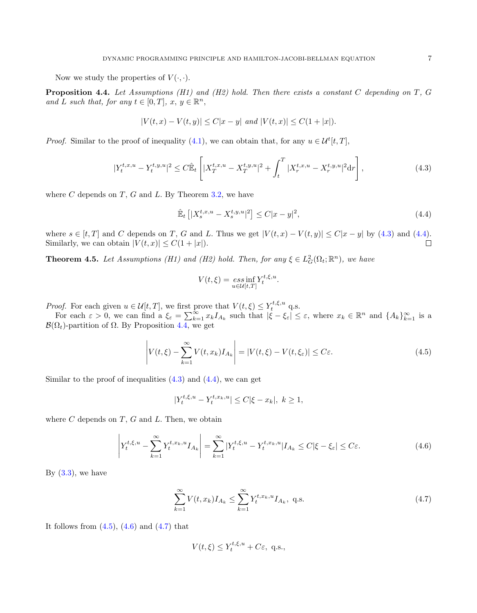Now we study the properties of  $V(\cdot, \cdot)$ .

<span id="page-6-2"></span>**Proposition 4.4.** Let Assumptions (H1) and (H2) hold. Then there exists a constant C depending on  $T$ , G and L such that, for any  $t \in [0, T]$ ,  $x, y \in \mathbb{R}^n$ ,

$$
|V(t,x)-V(t,y)|\leq C|x-y|\,\text{ and }|V(t,x)|\leq C(1+|x|).
$$

*Proof.* Similar to the proof of inequality [\(4.1\)](#page-5-0), we can obtain that, for any  $u \in \mathcal{U}^{t}[t, T]$ ,

<span id="page-6-0"></span>
$$
|Y_t^{t,x,u} - Y_t^{t,y,u}|^2 \le C \hat{\mathbb{E}}_t \left[ |X_T^{t,x,u} - X_T^{t,y,u}|^2 + \int_t^T |X_r^{t,x,u} - X_r^{t,y,u}|^2 dr \right],\tag{4.3}
$$

where  $C$  depends on  $T$ ,  $G$  and  $L$ . By Theorem [3.2,](#page-3-3) we have

<span id="page-6-1"></span>
$$
\hat{\mathbb{E}}_t \left[ |X_s^{t,x,u} - X_s^{t,y,u}|^2 \right] \le C|x-y|^2,
$$
\n(4.4)

where  $s \in [t, T]$  and C depends on T, G and L. Thus we get  $|V(t, x) - V(t, y)| \le C|x - y|$  by [\(4.3\)](#page-6-0) and [\(4.4\)](#page-6-1). Similarly, we can obtain  $|V(t, x)| \leq C(1 + |x|)$ .  $\Box$ 

<span id="page-6-6"></span>**Theorem 4.5.** Let Assumptions (H1) and (H2) hold. Then, for any  $\xi \in L_G^2(\Omega_t; \mathbb{R}^n)$ , we have

$$
V(t,\xi) = \underset{u \in \mathcal{U}[t,T]}{\operatorname{ess\,inf}} Y_t^{t,\xi,u}.
$$

*Proof.* For each given  $u \in \mathcal{U}[t,T]$ , we first prove that  $V(t,\xi) \leq Y_t^{t,\xi,u}$  q.s.

For each  $\varepsilon > 0$ , we can find a  $\xi_{\varepsilon} = \sum_{k=1}^{\infty} x_k I_{A_k}$  such that  $|\xi - \xi_{\varepsilon}| \leq \varepsilon$ , where  $x_k \in \mathbb{R}^n$  and  $\{A_k\}_{k=1}^{\infty}$  is a  $\mathcal{B}(\Omega_t)$ -partition of  $\Omega$ . By Proposition [4.4,](#page-6-2) we get

<span id="page-6-3"></span>
$$
\left| V(t,\xi) - \sum_{k=1}^{\infty} V(t,x_k) I_{A_k} \right| = \left| V(t,\xi) - V(t,\xi_{\varepsilon}) \right| \le C\varepsilon.
$$
\n(4.5)

Similar to the proof of inequalities  $(4.3)$  and  $(4.4)$ , we can get

$$
|Y_t^{t,\xi,u} - Y_t^{t,x_k,u}| \le C|\xi - x_k|, \ k \ge 1,
$$

where  $C$  depends on  $T$ ,  $G$  and  $L$ . Then, we obtain

<span id="page-6-4"></span>
$$
\left| Y_t^{t,\xi,u} - \sum_{k=1}^{\infty} Y_t^{t,x_k,u} I_{A_k} \right| = \sum_{k=1}^{\infty} |Y_t^{t,\xi,u} - Y_t^{t,x_k,u} | I_{A_k} \le C|\xi - \xi_{\varepsilon}| \le C\varepsilon. \tag{4.6}
$$

By  $(3.3)$ , we have

<span id="page-6-5"></span>
$$
\sum_{k=1}^{\infty} V(t, x_k) I_{A_k} \le \sum_{k=1}^{\infty} Y_t^{t, x_k, u} I_{A_k}, \text{ q.s.}
$$
\n(4.7)

It follows from  $(4.5)$ ,  $(4.6)$  and  $(4.7)$  that

$$
V(t,\xi) \le Y_t^{t,\xi,u} + C\varepsilon, \text{ q.s.},
$$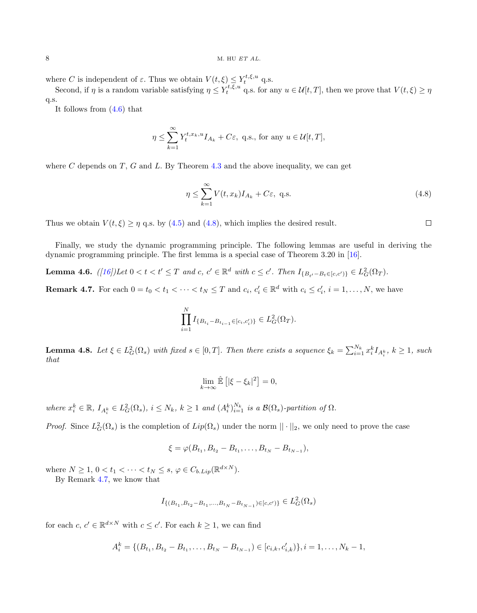#### $8$  M. HU  $ETAL$ .

where C is independent of  $\varepsilon$ . Thus we obtain  $V(t,\xi) \leq Y_t^{t,\xi,u}$  q.s.

Second, if  $\eta$  is a random variable satisfying  $\eta \leq Y_t^{t,\xi,u}$  q.s. for any  $u \in \mathcal{U}[t,T]$ , then we prove that  $V(t,\xi) \geq \eta$ q.s.

It follows from [\(4.6\)](#page-6-4) that

$$
\eta \le \sum_{k=1}^{\infty} Y_t^{t,x_k,u} I_{A_k} + C\varepsilon, \text{ q.s., for any } u \in \mathcal{U}[t,T],
$$

where C depends on  $T$ , G and L. By Theorem [4.3](#page-5-2) and the above inequality, we can get

<span id="page-7-0"></span>
$$
\eta \le \sum_{k=1}^{\infty} V(t, x_k) I_{A_k} + C\varepsilon, \text{ q.s.}
$$
\n(4.8)

 $\Box$ 

Thus we obtain  $V(t, \xi) \ge \eta$  q.s. by [\(4.5\)](#page-6-3) and [\(4.8\)](#page-7-0), which implies the desired result.

Finally, we study the dynamic programming principle. The following lemmas are useful in deriving the dynamic programming principle. The first lemma is a special case of Theorem 3.20 in [\[16\]](#page-19-21).

**Lemma 4.6.**  $([16])$  $([16])$  $([16])$  Let  $0 < t < t' \leq T$  and  $c, c' \in \mathbb{R}^d$  with  $c \leq c'$ . Then  $I_{\{B_{t'}-B_t \in [c,c']\}} \in L_G^2(\Omega_T)$ .

<span id="page-7-1"></span>**Remark 4.7.** For each  $0 = t_0 < t_1 < \cdots < t_N \leq T$  and  $c_i, c'_i \in \mathbb{R}^d$  with  $c_i \leq c'_i, i = 1, \ldots, N$ , we have

$$
\prod_{i=1}^{N} I_{\{B_{t_i} - B_{t_{i-1}} \in [c_i, c'_i)\}} \in L_G^2(\Omega_T).
$$

<span id="page-7-2"></span>**Lemma 4.8.** Let  $\xi \in L_G^2(\Omega_s)$  with fixed  $s \in [0,T]$ . Then there exists a sequence  $\xi_k = \sum_{i=1}^{N_k} x_i^k I_{A_i^k}$ ,  $k \ge 1$ , such that

$$
\lim_{k \to \infty} \hat{\mathbb{E}} \left[ |\xi - \xi_k|^2 \right] = 0,
$$

where  $x_i^k \in \mathbb{R}$ ,  $I_{A_i^k} \in L_G^2(\Omega_s)$ ,  $i \leq N_k$ ,  $k \geq 1$  and  $(A_i^k)_{i=1}^{N_k}$  is a  $\mathcal{B}(\Omega_s)$ -partition of  $\Omega$ .

*Proof.* Since  $L_G^2(\Omega_s)$  is the completion of  $Lip(\Omega_s)$  under the norm  $||\cdot||_2$ , we only need to prove the case

$$
\xi = \varphi(B_{t_1}, B_{t_2} - B_{t_1}, \dots, B_{t_N} - B_{t_{N-1}}),
$$

where  $N \geq 1, 0 < t_1 < \cdots < t_N \leq s, \varphi \in C_{b.Lip}(\mathbb{R}^{d \times N})$ . By Remark [4.7,](#page-7-1) we know that

$$
I_{\{(B_{t_1},B_{t_2}-B_{t_1},\ldots,B_{t_N}-B_{t_{N-1}}) \in [c,c')\}} \in L_G^2(\Omega_s)
$$

for each  $c, c' \in \mathbb{R}^{d \times N}$  with  $c \leq c'$ . For each  $k \geq 1$ , we can find

$$
A_i^k = \{ (B_{t_1}, B_{t_2} - B_{t_1}, \dots, B_{t_N} - B_{t_{N-1}}) \in [c_{i,k}, c'_{i,k}) \}, i = 1, \dots, N_k - 1,
$$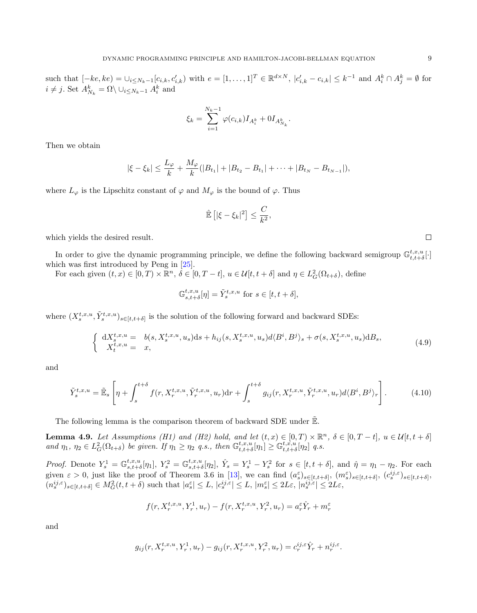such that  $[-ke, ke] = \bigcup_{i \le N_k-1} [c_{i,k}, c'_{i,k}]$  with  $e = [1, \ldots, 1]^T \in \mathbb{R}^{d \times N}$ ,  $|c'_{i,k} - c_{i,k}| \le k^{-1}$  and  $A_i^k \cap A_j^k = \emptyset$  for  $i \neq j$ . Set  $A_{N_k}^k = \Omega \setminus \cup_{i \leq N_k-1} A_i^k$  and

$$
\xi_k = \sum_{i=1}^{N_k - 1} \varphi(c_{i,k}) I_{A_i^k} + 0 I_{A_{N_k}^k}.
$$

Then we obtain

$$
|\xi - \xi_k| \leq \frac{L_{\varphi}}{k} + \frac{M_{\varphi}}{k} (|B_{t_1}| + |B_{t_2} - B_{t_1}| + \cdots + |B_{t_N} - B_{t_{N-1}}|),
$$

where  $L_{\varphi}$  is the Lipschitz constant of  $\varphi$  and  $M_{\varphi}$  is the bound of  $\varphi$ . Thus

$$
\mathbb{\hat{E}}\left[|\xi-\xi_k|^2\right] \leq \frac{C}{k^2},
$$

which yields the desired result.

In order to give the dynamic programming principle, we define the following backward semigroup  $\mathbb{G}_{t,t+\delta}^{t,x,u}[\cdot]$ which was first introduced by Peng in [\[25\]](#page-20-5).

For each given  $(t, x) \in [0, T) \times \mathbb{R}^n$ ,  $\delta \in [0, T - t]$ ,  $u \in \mathcal{U}[t, t + \delta]$  and  $\eta \in L_G^2(\Omega_{t+\delta})$ , define

$$
\mathbb{G}_{s,t+\delta}^{t,x,u}[\eta] = \tilde{Y}_{s}^{t,x,u} \text{ for } s \in [t,t+\delta],
$$

where  $(X_s^{t,x,u}, \tilde{Y}_s^{t,x,u})_{s \in [t,t+\delta]}$  is the solution of the following forward and backward SDEs:

<span id="page-8-1"></span>
$$
\begin{cases} dX_s^{t,x,u} = b(s, X_s^{t,x,u}, u_s)ds + h_{ij}(s, X_s^{t,x,u}, u_s)d\langle B^i, B^j \rangle_s + \sigma(s, X_s^{t,x,u}, u_s)dB_s, \\ X_t^{t,x,u} = x, \end{cases} \tag{4.9}
$$

and

$$
\tilde{Y}_{s}^{t,x,u} = \tilde{\mathbb{E}}_{s} \left[ \eta + \int_{s}^{t+\delta} f(r, X_{r}^{t,x,u}, \tilde{Y}_{r}^{t,x,u}, u_r) dr + \int_{s}^{t+\delta} g_{ij}(r, X_{r}^{t,x,u}, \tilde{Y}_{r}^{t,x,u}, u_r) d\langle B^i, B^j \rangle_r \right]. \tag{4.10}
$$

The following lemma is the comparison theorem of backward SDE under  $\mathbb{E}$ .

<span id="page-8-0"></span>**Lemma 4.9.** Let Assumptions (H1) and (H2) hold, and let  $(t, x) \in [0, T) \times \mathbb{R}^n$ ,  $\delta \in [0, T - t]$ ,  $u \in \mathcal{U}[t, t + \delta]$ and  $\eta_1, \eta_2 \in L_G^2(\Omega_{t+\delta})$  be given. If  $\eta_1 \geq \eta_2$  q.s., then  $\mathbb{G}_{t,t+\delta}^{t,x,u}[\eta_1] \geq \mathbb{G}_{t,t+\delta}^{t,x,u}[\eta_2]$  q.s.

Proof. Denote  $Y_s^1 = \mathbb{G}_{s,t+\delta}^{t,x,u}[\eta_1], Y_s^2 = \mathbb{G}_{s,t+\delta}^{t,x,u}[\eta_2], \hat{Y}_s = Y_s^1 - Y_s^2$  for  $s \in [t,t+\delta]$ , and  $\hat{\eta} = \eta_1 - \eta_2$ . For each given  $\varepsilon > 0$ , just like the proof of Theorem 3.6 in [\[13\]](#page-19-20), we can find  $(a_s^{\varepsilon})_{s \in [t,t+\delta]}, (m_s^{\varepsilon})_{s \in [t,t+\delta]}, (c_s^{ij,\varepsilon})_{s \in [t,t+\delta]}$  $(n_s^{ij,\varepsilon})_{s\in[t,t+\delta]} \in M_G^2(t,t+\delta)$  such that  $|a_s^{\varepsilon}| \leq L, |c_s^{ij,\varepsilon}| \leq L, |m_s^{\varepsilon}| \leq 2L\varepsilon, |n_s^{ij,\varepsilon}| \leq 2L\varepsilon$ 

$$
f(r, X_r^{t,x,u}, Y_r^1, u_r) - f(r, X_r^{t,x,u}, Y_r^2, u_r) = a_r^{\varepsilon} \hat{Y}_r + m_r^{\varepsilon}
$$

and

$$
g_{ij}(r, X_r^{t,x,u}, Y_r^1, u_r) - g_{ij}(r, X_r^{t,x,u}, Y_r^2, u_r) = c_r^{ij,\varepsilon} \hat{Y}_r + n_r^{ij,\varepsilon}.
$$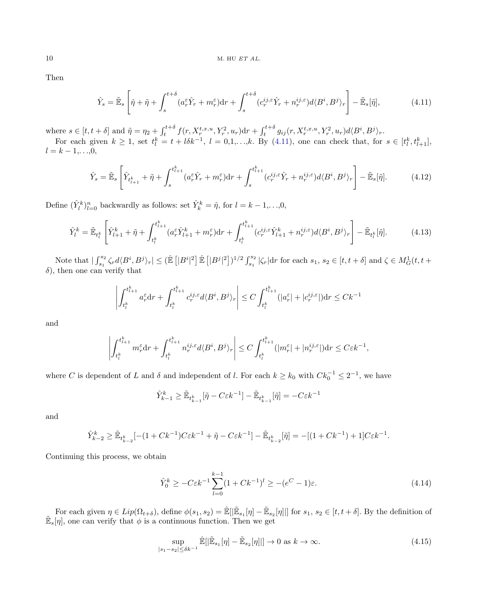Then

<span id="page-9-0"></span>
$$
\hat{Y}_s = \tilde{\mathbb{E}}_s \left[ \hat{\eta} + \tilde{\eta} + \int_s^{t+\delta} (a_r^{\varepsilon} \hat{Y}_r + m_r^{\varepsilon}) dr + \int_s^{t+\delta} (c_r^{ij,\varepsilon} \hat{Y}_r + n_r^{ij,\varepsilon}) d\langle B^i, B^j \rangle_r \right] - \tilde{\mathbb{E}}_s[\tilde{\eta}],\tag{4.11}
$$

where  $s \in [t, t + \delta]$  and  $\tilde{\eta} = \eta_2 + \int_t^{t+\delta} f(r, X_r^{t,x,u}, Y_r^2, u_r) dr + \int_t^{t+\delta} g_{ij}(r, X_r^{t,x,u}, Y_r^2, u_r) d\langle B^i, B^j \rangle_r$ .

For each given  $k \geq 1$ , set  $t_l^k = t + l \delta k^{-1}$ ,  $l = 0,1,...,k$ . By  $(4.11)$ , one can check that, for  $s \in [t_l^k, t_{l+1}^k]$ ,  $l = k - 1, \ldots, 0,$ 

<span id="page-9-2"></span>
$$
\hat{Y}_s = \tilde{\mathbb{E}}_s \left[ \hat{Y}_{t_{l+1}^k} + \tilde{\eta} + \int_s^{t_{l+1}^k} (a_r^{\varepsilon} \hat{Y}_r + m_r^{\varepsilon}) dr + \int_s^{t_{l+1}^k} (c_r^{ij,\varepsilon} \hat{Y}_r + n_r^{ij,\varepsilon}) d\langle B^i, B^j \rangle_r \right] - \tilde{\mathbb{E}}_s[\tilde{\eta}]. \tag{4.12}
$$

Define  $(\hat{Y}_l^k)_{l=0}^n$  backwardly as follows: set  $\hat{Y}_k^k = \hat{\eta}$ , for  $l = k - 1, \ldots, 0$ ,

<span id="page-9-3"></span>
$$
\hat{Y}_{l}^{k} = \tilde{\mathbb{E}}_{t_{l}^{k}} \left[ \hat{Y}_{l+1}^{k} + \tilde{\eta} + \int_{t_{l}^{k}}^{t_{l+1}^{k}} (a_{r}^{\varepsilon} \hat{Y}_{l+1}^{k} + m_{r}^{\varepsilon}) dr + \int_{t_{l}^{k}}^{t_{l+1}^{k}} (c_{r}^{ij,\varepsilon} \hat{Y}_{l+1}^{k} + n_{r}^{ij,\varepsilon}) d\langle B^{i}, B^{j} \rangle_{r} \right] - \tilde{\mathbb{E}}_{t_{l}^{k}}[\tilde{\eta}]. \tag{4.13}
$$

Note that  $|\int_{s_1}^{s_2} \zeta_r d\langle B^i, B^j \rangle_r| \leq (\mathbb{E} [|B^i|^2] \mathbb{E} [|B^j|^2])^{1/2} \int_{s_1}^{s_2} |\zeta_r| dr$  for each  $s_1, s_2 \in [t, t + \delta]$  and  $\zeta \in M_G^1(t, t + \delta)$  $\delta$ ), then one can verify that

$$
\left| \int_{t_l^k}^{t_{l+1}^k} a_r^\varepsilon dr + \int_{t_l^k}^{t_{l+1}^k} c_r^{ij,\varepsilon} d\langle B^i, B^j \rangle_r \right| \le C \int_{t_l^k}^{t_{l+1}^k} (|a_r^\varepsilon| + |c_r^{ij,\varepsilon}|) dr \le Ck^{-1}
$$

and

$$
\left| \int_{t_l^k}^{t_{l+1}^k} m_r^\varepsilon dr + \int_{t_l^k}^{t_{l+1}^k} n_r^{ij,\varepsilon} d\langle B^i, B^j \rangle_r \right| \leq C \int_{t_l^k}^{t_{l+1}^k} (|m_r^\varepsilon| + |n_r^{ij,\varepsilon}|) dr \leq C \varepsilon k^{-1},
$$

where C is dependent of L and  $\delta$  and independent of l. For each  $k \geq k_0$  with  $C k_0^{-1} \leq 2^{-1}$ , we have

$$
\hat{Y}_{k-1}^k \ge \tilde{\mathbb{E}}_{t_{k-1}^k}[\tilde{\eta} - C\varepsilon k^{-1}] - \tilde{\mathbb{E}}_{t_{k-1}^k}[\tilde{\eta}] = -C\varepsilon k^{-1}
$$

and

$$
\hat{Y}_{k-2}^k \ge \tilde{\mathbb{E}}_{t_{k-2}^k}[-(1+Ck^{-1})C\varepsilon k^{-1} + \tilde{\eta} - C\varepsilon k^{-1}] - \tilde{\mathbb{E}}_{t_{k-2}^k}[\tilde{\eta}] = -[(1+Ck^{-1})+1]C\varepsilon k^{-1}.
$$

Continuing this process, we obtain

<span id="page-9-4"></span>
$$
\hat{Y}_0^k \ge -C\varepsilon k^{-1} \sum_{l=0}^{k-1} (1 + Ck^{-1})^l \ge -(e^C - 1)\varepsilon.
$$
\n(4.14)

For each given  $\eta \in Lip(\Omega_{t+\delta})$ , define  $\phi(s_1, s_2) = \mathbb{E}[\tilde{\mathbb{E}}_{s_1}[\eta] - \tilde{\mathbb{E}}_{s_2}[\eta]]$  for  $s_1, s_2 \in [t, t+\delta]$ . By the definition of  $\mathbb{E}_{s}[\eta]$ , one can verify that  $\phi$  is a continuous function. Then we get

<span id="page-9-1"></span>
$$
\sup_{|s_1 - s_2| \le \delta k^{-1}} \hat{\mathbb{E}}[|\tilde{\mathbb{E}}_{s_1}[\eta] - \tilde{\mathbb{E}}_{s_2}[\eta]]] \to 0 \text{ as } k \to \infty.
$$
 (4.15)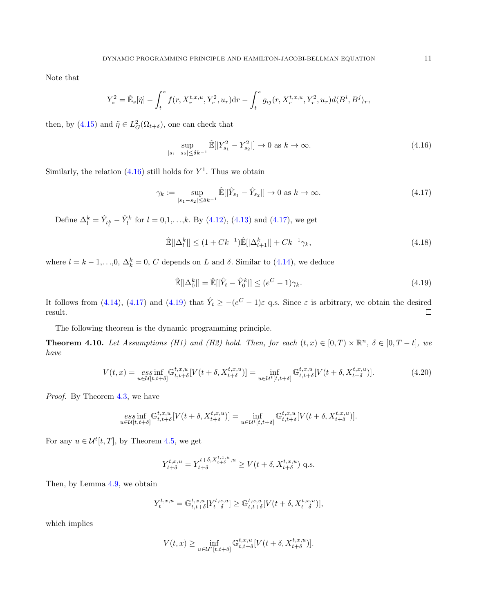Note that

$$
Y_s^2 = \tilde{\mathbb{E}}_s[\tilde{\eta}] - \int_t^s f(r, X_r^{t,x,u}, Y_r^2, u_r) dr - \int_t^s g_{ij}(r, X_r^{t,x,u}, Y_r^2, u_r) d\langle B^i, B^j \rangle_r,
$$

then, by [\(4.15\)](#page-9-1) and  $\tilde{\eta} \in L_G^2(\Omega_{t+\delta})$ , one can check that

<span id="page-10-0"></span>
$$
\sup_{|s_1 - s_2| \le \delta k^{-1}} \hat{\mathbb{E}}[|Y_{s_1}^2 - Y_{s_2}^2|] \to 0 \text{ as } k \to \infty.
$$
 (4.16)

Similarly, the relation  $(4.16)$  still holds for  $Y<sup>1</sup>$ . Thus we obtain

<span id="page-10-1"></span>
$$
\gamma_k := \sup_{|s_1 - s_2| \le \delta k^{-1}} \hat{\mathbb{E}}[|\hat{Y}_{s_1} - \hat{Y}_{s_2}|] \to 0 \text{ as } k \to \infty.
$$
 (4.17)

Define  $\Delta_l^k = \hat{Y}_{t_l^k} - \hat{Y}_l^k$  for  $l = 0, 1, \ldots, k$ . By [\(4.12\)](#page-9-2), [\(4.13\)](#page-9-3) and [\(4.17\)](#page-10-1), we get

$$
\mathbb{\hat{E}}[|\Delta_t^k|] \le (1 + Ck^{-1})\mathbb{\hat{E}}[|\Delta_{l+1}^k|] + Ck^{-1}\gamma_k,
$$
\n(4.18)

where  $l = k - 1, \ldots, 0, \Delta_k^k = 0, C$  depends on L and  $\delta$ . Similar to [\(4.14\)](#page-9-4), we deduce

<span id="page-10-2"></span>
$$
\hat{\mathbb{E}}[|\Delta_0^k|] = \hat{\mathbb{E}}[|\hat{Y}_t - \hat{Y}_0^k|] \le (e^C - 1)\gamma_k.
$$
\n(4.19)

It follows from [\(4.14\)](#page-9-4), [\(4.17\)](#page-10-1) and [\(4.19\)](#page-10-2) that  $\hat{Y}_t \ge -(e^C - 1)\varepsilon$  q.s. Since  $\varepsilon$  is arbitrary, we obtain the desired result.  $\Box$ 

The following theorem is the dynamic programming principle.

<span id="page-10-3"></span>**Theorem 4.10.** Let Assumptions (H1) and (H2) hold. Then, for each  $(t, x) \in [0, T) \times \mathbb{R}^n$ ,  $\delta \in [0, T - t]$ , we have

$$
V(t,x) = \underset{u \in \mathcal{U}[t,t+\delta]}{\operatorname{ess\,inf}} \mathbb{G}_{t,t+\delta}^{t,x,u}[V(t+\delta, X_{t+\delta}^{t,x,u})] = \underset{u \in \mathcal{U}^t[t,t+\delta]}{\operatorname{inf}} \mathbb{G}_{t,t+\delta}^{t,x,u}[V(t+\delta, X_{t+\delta}^{t,x,u})]. \tag{4.20}
$$

Proof. By Theorem [4.3,](#page-5-2) we have

$$
\underset{u \in \mathcal{U}[t,t+\delta]}{\operatorname{ess\,inf}} \mathbb{G}_{t,t+\delta}^{t,x,u}[V(t+\delta,X_{t+\delta}^{t,x,u})] = \underset{u \in \mathcal{U}^t[t,t+\delta]}{\operatorname{inf}} \mathbb{G}_{t,t+\delta}^{t,x,u}[V(t+\delta,X_{t+\delta}^{t,x,u})].
$$

For any  $u \in \mathcal{U}^t[t,T]$ , by Theorem [4.5,](#page-6-6) we get

$$
Y_{t+\delta}^{t,x,u} = Y_{t+\delta}^{t+\delta, X_{t+\delta}^{t,x,u}, u} \ge V(t+\delta, X_{t+\delta}^{t,x,u}) \text{ q.s.}
$$

Then, by Lemma [4.9,](#page-8-0) we obtain

$$
Y_t^{t,x,u} = \mathbb{G}_{t,t+\delta}^{t,x,u}[Y_{t+\delta}^{t,x,u}] \geq \mathbb{G}_{t,t+\delta}^{t,x,u}[V(t+\delta, X_{t+\delta}^{t,x,u})],
$$

which implies

$$
V(t,x) \geq \inf_{u \in \mathcal{U}^t[t,t+\delta]} \mathbb{G}^{t,x,u}_{t,t+\delta}[V(t+\delta, X^{t,x,u}_{t+\delta})].
$$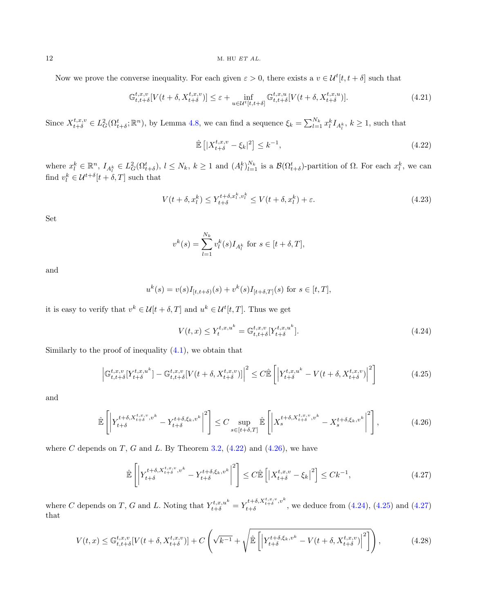Now we prove the converse inequality. For each given  $\varepsilon > 0$ , there exists a  $v \in \mathcal{U}^t[t, t + \delta]$  such that

<span id="page-11-6"></span>
$$
\mathbb{G}_{t,t+\delta}^{t,x,v}[V(t+\delta, X_{t+\delta}^{t,x,v})] \leq \varepsilon + \inf_{u \in \mathcal{U}^t[t,t+\delta]} \mathbb{G}_{t,t+\delta}^{t,x,u}[V(t+\delta, X_{t+\delta}^{t,x,u})]. \tag{4.21}
$$

Since  $X_{t+\delta}^{t,x,v} \in L_G^2(\Omega_{t+\delta}^t; \mathbb{R}^n)$ , by Lemma [4.8,](#page-7-2) we can find a sequence  $\xi_k = \sum_{l=1}^{N_k} x_l^k I_{A_l^k}, k \ge 1$ , such that

<span id="page-11-0"></span>
$$
\hat{\mathbb{E}}\left[|X_{t+\delta}^{t,x,v} - \xi_k|^2\right] \le k^{-1},\tag{4.22}
$$

where  $x_l^k \in \mathbb{R}^n$ ,  $I_{A_l^k} \in L_G^2(\Omega_{t+\delta}^t)$ ,  $l \leq N_k$ ,  $k \geq 1$  and  $(A_l^k)_{l=1}^{N_k}$  is a  $\mathcal{B}(\Omega_{t+\delta}^t)$ -partition of  $\Omega$ . For each  $x_l^k$ , we can find  $v_l^k \in \mathcal{U}^{t+\delta}[t+\delta,T]$  such that

<span id="page-11-5"></span>
$$
V(t+\delta, x_l^k) \le Y_{t+\delta}^{t+\delta, x_l^k, v_l^k} \le V(t+\delta, x_l^k) + \varepsilon.
$$
\n(4.23)

Set

$$
v^{k}(s) = \sum_{l=1}^{N_{k}} v_{l}^{k}(s) I_{A_{l}^{k}} \text{ for } s \in [t + \delta, T],
$$

and

$$
u^{k}(s) = v(s)I_{[t,t+\delta)}(s) + v^{k}(s)I_{[t+\delta,T]}(s) \text{ for } s \in [t,T],
$$

it is easy to verify that  $v^k \in \mathcal{U}[t + \delta, T]$  and  $u^k \in \mathcal{U}^t[t, T]$ . Thus we get

<span id="page-11-2"></span>
$$
V(t,x) \le Y_t^{t,x,u^k} = \mathbb{G}_{t,t+\delta}^{t,x,v} [Y_{t+\delta}^{t,x,u^k}].
$$
\n(4.24)

Similarly to the proof of inequality  $(4.1)$ , we obtain that

<span id="page-11-3"></span>
$$
\left| \mathbb{G}_{t,t+\delta}^{t,x,v}[Y_{t+\delta}^{t,x,u^k}] - \mathbb{G}_{t,t+\delta}^{t,x,v}[V(t+\delta, X_{t+\delta}^{t,x,v})] \right|^2 \leq C \hat{\mathbb{E}} \left[ \left| Y_{t+\delta}^{t,x,u^k} - V(t+\delta, X_{t+\delta}^{t,x,v}) \right|^2 \right] \tag{4.25}
$$

and

<span id="page-11-1"></span>
$$
\hat{\mathbb{E}}\left[\left|Y_{t+\delta}^{t+\delta,X_{t+\delta}^{t,x,v},v^{k}} - Y_{t+\delta}^{t+\delta,\xi_{k},v^{k}}\right|^{2}\right] \leq C \sup_{s\in[t+\delta,T]} \hat{\mathbb{E}}\left[\left|X_{s}^{t+\delta,X_{t+\delta}^{t,x,v},v^{k}} - X_{s}^{t+\delta,\xi_{k},v^{k}}\right|^{2}\right],\tag{4.26}
$$

where C depends on T, G and L. By Theorem [3.2,](#page-3-3)  $(4.22)$  and  $(4.26)$ , we have

<span id="page-11-4"></span>
$$
\hat{\mathbb{E}}\left[\left|Y_{t+\delta}^{t+\delta,X_{t+\delta}^{t,x,v},v^{k}} - Y_{t+\delta}^{t+\delta,\xi_{k},v^{k}}\right|^{2}\right] \leq C\hat{\mathbb{E}}\left[\left|X_{t+\delta}^{t,x,v} - \xi_{k}\right|^{2}\right] \leq Ck^{-1},\tag{4.27}
$$

where C depends on T, G and L. Noting that  $Y_{t+\delta}^{t,x,u^k} = Y_{t+\delta}^{t+\delta,X_{t+\delta}^{t,x,v},v^k}$  $_{t+\delta}^{t+0,11}$ , we deduce from  $(4.24)$ ,  $(4.25)$  and  $(4.27)$ that

<span id="page-11-7"></span>
$$
V(t,x) \leq \mathbb{G}_{t,t+\delta}^{t,x,v}[V(t+\delta, X_{t+\delta}^{t,x,v})] + C\left(\sqrt{k-1} + \sqrt{\hat{\mathbb{E}}\left[\left|Y_{t+\delta}^{t+\delta,\xi_k,v^k} - V(t+\delta, X_{t+\delta}^{t,x,v})\right|^2\right]}\right),\tag{4.28}
$$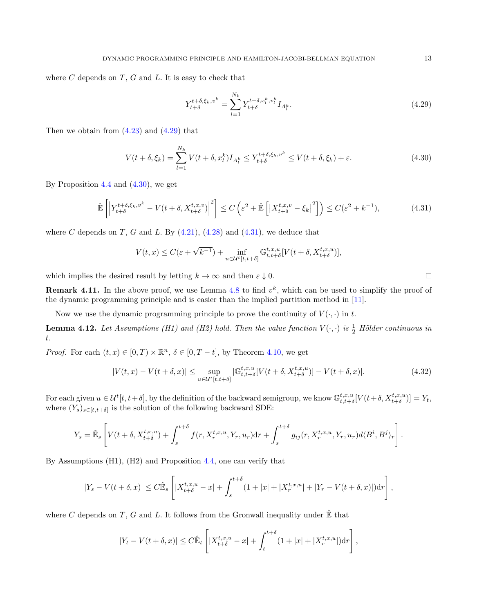where  $C$  depends on  $T$ ,  $G$  and  $L$ . It is easy to check that

<span id="page-12-0"></span>
$$
Y_{t+\delta}^{t+\delta,\xi_k,v^k} = \sum_{l=1}^{N_k} Y_{t+\delta}^{t+\delta,x_l^k,v_l^k} I_{A_l^k}.
$$
\n(4.29)

Then we obtain from  $(4.23)$  and  $(4.29)$  that

<span id="page-12-1"></span>
$$
V(t+\delta,\xi_k) = \sum_{l=1}^{N_k} V(t+\delta,x_l^k) I_{A_l^k} \le Y_{t+\delta}^{t+\delta,\xi_k,v^k} \le V(t+\delta,\xi_k) + \varepsilon.
$$
 (4.30)

By Proposition  $4.4$  and  $(4.30)$ , we get

<span id="page-12-2"></span>
$$
\hat{\mathbb{E}}\left[\left|Y_{t+\delta}^{t+\delta,\xi_k,v^k} - V(t+\delta,X_{t+\delta}^{t,x,v})\right|^2\right] \le C\left(\varepsilon^2 + \hat{\mathbb{E}}\left[\left|X_{t+\delta}^{t,x,v} - \xi_k\right|^2\right]\right) \le C(\varepsilon^2 + k^{-1}),\tag{4.31}
$$

where C depends on T, G and L. By  $(4.21)$ ,  $(4.28)$  and  $(4.31)$ , we deduce that

$$
V(t,x)\leq C(\varepsilon+\sqrt{k^{-1}})+\inf_{u\in \mathcal{U}^t[t,t+\delta]}\mathbb{G}_{t,t+\delta}^{t,x,u}[V(t+\delta,X^{t,x,u}_{t+\delta})],
$$

which implies the desired result by letting  $k \to \infty$  and then  $\varepsilon \downarrow 0$ .

**Remark 4.11.** In the above proof, we use Lemma [4.8](#page-7-2) to find  $v^k$ , which can be used to simplify the proof of the dynamic programming principle and is easier than the implied partition method in [\[11\]](#page-19-6).

Now we use the dynamic programming principle to prove the continuity of  $V(\cdot, \cdot)$  in t.

<span id="page-12-4"></span>**Lemma 4.12.** Let Assumptions (H1) and (H2) hold. Then the value function  $V(\cdot, \cdot)$  is  $\frac{1}{2}$  Hölder continuous in t.

*Proof.* For each  $(t, x) \in [0, T) \times \mathbb{R}^n$ ,  $\delta \in [0, T - t]$ , by Theorem [4.10,](#page-10-3) we get

<span id="page-12-3"></span>
$$
|V(t,x) - V(t+\delta,x)| \leq \sup_{u \in \mathcal{U}^t[t,t+\delta]} |\mathbb{G}_{t,t+\delta}^{t,x,u}[V(t+\delta,X_{t+\delta}^{t,x,u})] - V(t+\delta,x)|. \tag{4.32}
$$

For each given  $u \in \mathcal{U}^{t}[t, t + \delta]$ , by the definition of the backward semigroup, we know  $\mathbb{G}^{t,x,u}_{t,t+\delta}[V(t + \delta, X^{t,x,u}_{t+\delta})] = Y_t$ , where  $(Y_s)_{s \in [t,t+\delta]}$  is the solution of the following backward SDE:

$$
Y_s = \tilde{\mathbb{E}}_s \left[ V(t+\delta, X^{t,x,u}_{t+\delta}) + \int_s^{t+\delta} f(r, X^{t,x,u}_r, Y_r, u_r) dr + \int_s^{t+\delta} g_{ij}(r, X^{t,x,u}_r, Y_r, u_r) d\langle B^i, B^j \rangle_r \right].
$$

By Assumptions (H1), (H2) and Proposition [4.4,](#page-6-2) one can verify that

$$
|Y_s-V(t+\delta,x)|\leq C\hat{\mathbb{E}}_s\left[|X^{t,x,u}_{t+\delta}-x|+\int_s^{t+\delta}(1+|x|+|X^{t,x,u}_r|+|Y_r-V(t+\delta,x)|)\mathrm{d} r\right],
$$

where C depends on T, G and L. It follows from the Gronwall inequality under  $\hat{\mathbb{E}}$  that

$$
|Y_t - V(t+\delta, x)| \leq C \widehat{\mathbb{E}}_t \left[ |X^{t,x,u}_{t+\delta} - x| + \int_t^{t+\delta} (1+|x| + |X^{t,x,u}_r|) dr \right],
$$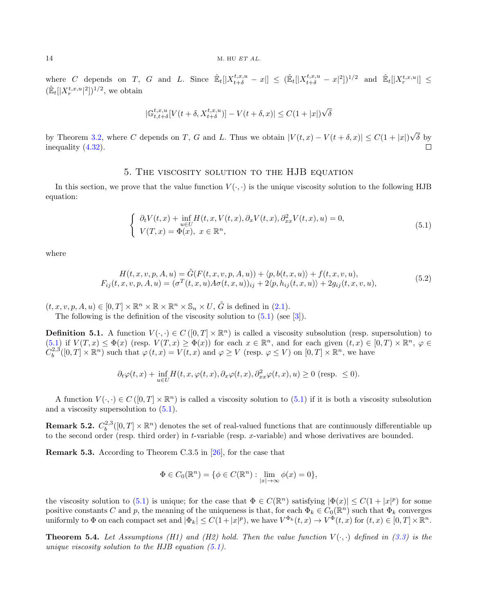where C depends on T, G and L. Since  $\hat{\mathbb{E}}_t[|X_{t+\delta}^{t,x,u}-x|] \leq (\hat{\mathbb{E}}_t[|X_{t+\delta}^{t,x,u}-x|^2])^{1/2}$  and  $\hat{\mathbb{E}}_t[|X_{r}^{t,x,u}|] \leq$  $(\mathbb{\hat{E}}_t[|X^{t,x,u}_r|^2])^{1/2}$ , we obtain

$$
|\mathbb{G}_{t,t+\delta}^{t,x,u}[V(t+\delta,X^{t,x,u}_{t+\delta})]-V(t+\delta,x)|\leq C(1+|x|)\sqrt{\delta}
$$

√ by Theorem [3.2,](#page-3-3) where C depends on T, G and L. Thus we obtain  $|V(t, x) - V(t + \delta, x)| \leq C(1 + |x|)$  $\delta$  by inequality [\(4.32\)](#page-12-3).  $\Box$ 

#### 5. The viscosity solution to the HJB equation

<span id="page-13-0"></span>In this section, we prove that the value function  $V(\cdot, \cdot)$  is the unique viscosity solution to the following HJB equation:

<span id="page-13-1"></span>
$$
\begin{cases}\n\partial_t V(t,x) + \inf_{u \in U} H(t,x,V(t,x),\partial_x V(t,x),\partial_{xx}^2 V(t,x),u) = 0, \\
V(T,x) = \Phi(x), \ x \in \mathbb{R}^n,\n\end{cases}
$$
\n(5.1)

where

<span id="page-13-4"></span>
$$
H(t, x, v, p, A, u) = \tilde{G}(F(t, x, v, p, A, u)) + \langle p, b(t, x, u) \rangle + f(t, x, v, u),
$$
  
\n
$$
F_{ij}(t, x, v, p, A, u) = (\sigma^T(t, x, u)A\sigma(t, x, u))_{ij} + 2\langle p, h_{ij}(t, x, u) \rangle + 2g_{ij}(t, x, v, u),
$$
\n(5.2)

 $(t, x, v, p, A, u) \in [0, T] \times \mathbb{R}^n \times \mathbb{R} \times \mathbb{R}^n \times \mathbb{S}_n \times U$ ,  $\tilde{G}$  is defined in [\(2.1\)](#page-2-0).

The following is the definition of the viscosity solution to  $(5.1)$  (see [\[3\]](#page-19-22)).

**Definition 5.1.** A function  $V(\cdot, \cdot) \in C([0, T] \times \mathbb{R}^n)$  is called a viscosity subsolution (resp. supersolution) to  $(5.1)$  if  $V(T, x) \leq \Phi(x)$  (resp.  $V(T, x) \geq \Phi(x)$ ) for each  $x \in \mathbb{R}^n$ , and for each given  $(t, x) \in [0, T) \times \mathbb{R}^n$ ,  $\varphi \in$  $C_b^{2,3}([0,T] \times \mathbb{R}^n)$  such that  $\varphi(t,x) = V(t,x)$  and  $\varphi \geq V$  (resp.  $\varphi \leq V$ ) on  $[0,T] \times \mathbb{R}^n$ , we have

$$
\partial_t \varphi(t,x) + \inf_{u \in U} H(t,x,\varphi(t,x),\partial_x \varphi(t,x),\partial_{xx}^2 \varphi(t,x),u) \ge 0 \text{ (resp. } \le 0).
$$

A function  $V(\cdot, \cdot) \in C([0, T] \times \mathbb{R}^n)$  is called a viscosity solution to  $(5.1)$  if it is both a viscosity subsolution and a viscosity supersolution to  $(5.1)$ .

**Remark 5.2.**  $C_b^{2,3}([0,T] \times \mathbb{R}^n)$  denotes the set of real-valued functions that are continuously differentiable up to the second order (resp. third order) in t-variable (resp. x-variable) and whose derivatives are bounded.

<span id="page-13-2"></span>Remark 5.3. According to Theorem C.3.5 in [\[26\]](#page-20-4), for the case that

$$
\Phi \in C_0(\mathbb{R}^n) = \{ \phi \in C(\mathbb{R}^n) : \lim_{|x| \to \infty} \phi(x) = 0 \},\
$$

the viscosity solution to [\(5.1\)](#page-13-1) is unique; for the case that  $\Phi \in C(\mathbb{R}^n)$  satisfying  $|\Phi(x)| \leq C(1+|x|^p)$  for some positive constants C and p, the meaning of the uniqueness is that, for each  $\Phi_k \in C_0(\mathbb{R}^n)$  such that  $\Phi_k$  converges uniformly to  $\Phi$  on each compact set and  $|\Phi_k| \leq C(1+|x|^p)$ , we have  $V^{\Phi_k}(t,x) \to V^{\Phi}(t,x)$  for  $(t,x) \in [0,T] \times \mathbb{R}^n$ .

<span id="page-13-3"></span>**Theorem 5.4.** Let Assumptions (H1) and (H2) hold. Then the value function  $V(\cdot, \cdot)$  defined in [\(3.3\)](#page-4-4) is the unique viscosity solution to the HJB equation  $(5.1)$ .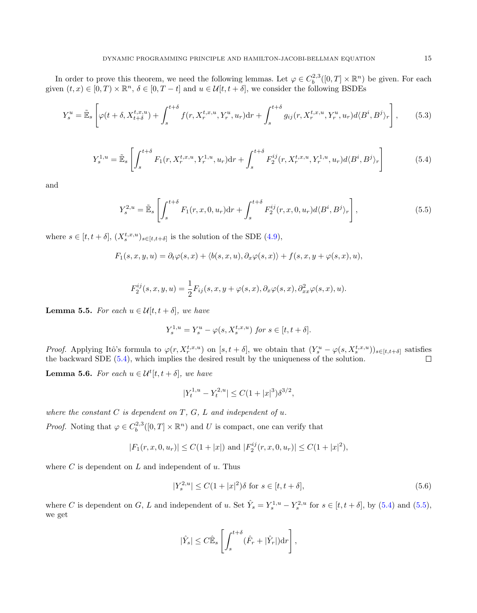In order to prove this theorem, we need the following lemmas. Let  $\varphi \in C_b^{2,3}([0,T] \times \mathbb{R}^n)$  be given. For each given  $(t, x) \in [0, T) \times \mathbb{R}^n$ ,  $\delta \in [0, T - t]$  and  $u \in \mathcal{U}[t, t + \delta]$ , we consider the following BSDEs

$$
Y_s^u = \tilde{\mathbb{E}}_s \left[ \varphi(t + \delta, X_{t + \delta}^{t, x, u}) + \int_s^{t + \delta} f(r, X_r^{t, x, u}, Y_r^u, u_r) dr + \int_s^{t + \delta} g_{ij}(r, X_r^{t, x, u}, Y_r^u, u_r) d\langle B^i, B^j \rangle_r \right],
$$
(5.3)

<span id="page-14-0"></span>
$$
Y_s^{1,u} = \tilde{\mathbb{E}}_s \left[ \int_s^{t+\delta} F_1(r, X_r^{t,x,u}, Y_r^{1,u}, u_r) dr + \int_s^{t+\delta} F_2^{ij}(r, X_r^{t,x,u}, Y_r^{1,u}, u_r) d\langle B^i, B^j \rangle_r \right]
$$
(5.4)

and

<span id="page-14-1"></span>
$$
Y_s^{2,u} = \tilde{\mathbb{E}}_s \left[ \int_s^{t+\delta} F_1(r,x,0,u_r) dr + \int_s^{t+\delta} F_2^{ij}(r,x,0,u_r) d\langle B^i, B^j \rangle_r \right],\tag{5.5}
$$

where  $s \in [t, t + \delta], (X_s^{t,x,u})_{s \in [t,t+\delta]}$  is the solution of the SDE [\(4.9\)](#page-8-1),

$$
F_1(s, x, y, u) = \partial_t \varphi(s, x) + \langle b(s, x, u), \partial_x \varphi(s, x) \rangle + f(s, x, y + \varphi(s, x), u),
$$

$$
F_2^{ij}(s,x,y,u) = \frac{1}{2}F_{ij}(s,x,y+\varphi(s,x),\partial_x\varphi(s,x),\partial_{xx}^2\varphi(s,x),u).
$$

<span id="page-14-3"></span>**Lemma 5.5.** For each  $u \in \mathcal{U}[t, t + \delta]$ , we have

$$
Y_s^{1,u}=Y_s^u-\varphi(s,X_s^{t,x,u}) \text{ for } s\in[t,t+\delta].
$$

*Proof.* Applying Itô's formula to  $\varphi(r, X_r^{t,x,u})$  on  $[s, t + \delta]$ , we obtain that  $(Y_s^u - \varphi(s, X_s^{t,x,u}))_{s \in [t,t+\delta]}$  satisfies the backward SDE [\(5.4\)](#page-14-0), which implies the desired result by the uniqueness of the solution.

<span id="page-14-4"></span>**Lemma 5.6.** For each  $u \in \mathcal{U}^{t}[t, t + \delta]$ , we have

$$
|Y_t^{1,u} - Y_t^{2,u}| \le C(1+|x|^3)\delta^{3/2},
$$

where the constant  $C$  is dependent on  $T, G, L$  and independent of  $u$ .

*Proof.* Noting that  $\varphi \in C_b^{2,3}([0,T] \times \mathbb{R}^n)$  and U is compact, one can verify that

$$
|F_1(r, x, 0, u_r)| \le C(1+|x|)
$$
 and  $|F_2^{ij}(r, x, 0, u_r)| \le C(1+|x|^2)$ ,

where  $C$  is dependent on  $L$  and independent of  $u$ . Thus

<span id="page-14-2"></span>
$$
|Y_s^{2,u}| \le C(1+|x|^2)\delta \text{ for } s \in [t, t+\delta],\tag{5.6}
$$

where C is dependent on G, L and independent of u. Set  $\hat{Y}_s = Y_s^{1,u} - Y_s^{2,u}$  for  $s \in [t, t + \delta]$ , by  $(5.4)$  and  $(5.5)$ , we get

$$
|\hat{Y}_s| \leq C \hat{\mathbb{E}}_s \left[ \int_s^{t+\delta} (\hat{F}_r + |\hat{Y}_r|) \mathrm{d}r \right],
$$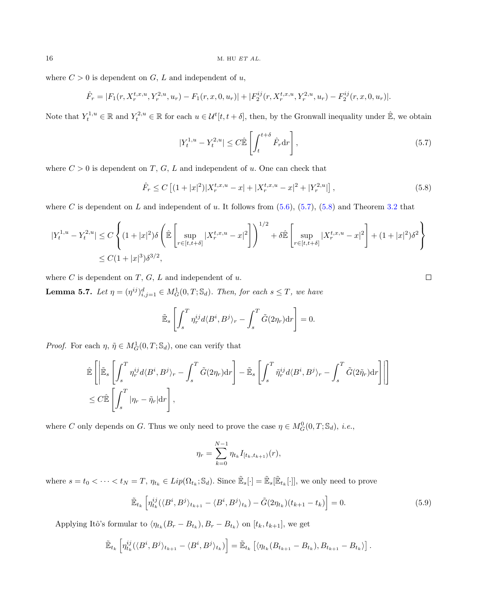where  $C > 0$  is dependent on  $G, L$  and independent of  $u$ ,

$$
\hat{F}_r = |F_1(r, X_r^{t,x,u}, Y_r^{2,u}, u_r) - F_1(r,x,0,u_r)| + |F_2^{ij}(r, X_r^{t,x,u}, Y_r^{2,u}, u_r) - F_2^{ij}(r,x,0,u_r)|.
$$

Note that  $Y_t^{1,u} \in \mathbb{R}$  and  $Y_t^{2,u} \in \mathbb{R}$  for each  $u \in \mathcal{U}^t[t, t + \delta]$ , then, by the Gronwall inequality under  $\hat{\mathbb{E}}$ , we obtain

<span id="page-15-0"></span>
$$
|Y_t^{1,u} - Y_t^{2,u}| \le C \hat{\mathbb{E}} \left[ \int_t^{t+\delta} \hat{F}_r \, dr \right],\tag{5.7}
$$

where  $C > 0$  is dependent on T, G, L and independent of u. One can check that

<span id="page-15-1"></span>
$$
\hat{F}_r \le C \left[ (1+|x|^2) |X_r^{t,x,u} - x| + |X_r^{t,x,u} - x|^2 + |Y_r^{2,u}| \right],\tag{5.8}
$$

where C is dependent on L and independent of u. It follows from  $(5.6)$ ,  $(5.7)$ ,  $(5.8)$  and Theorem [3.2](#page-3-3) that

$$
\begin{aligned} |Y_t^{1,u} - Y_t^{2,u}| &\le C \left\{ (1+|x|^2) \delta \left( \hat{\mathbb{E}} \left[ \sup_{r \in [t,t+\delta]} |X_r^{t,x,u} - x|^2 \right] \right)^{1/2} + \delta \hat{\mathbb{E}} \left[ \sup_{r \in [t,t+\delta]} |X_r^{t,x,u} - x|^2 \right] + (1+|x|^2) \delta^2 \right\} \\ &\le C(1+|x|^3) \delta^{3/2}, \end{aligned}
$$

where  $C$  is dependent on  $T$ ,  $G$ ,  $L$  and independent of  $u$ .

<span id="page-15-3"></span>**Lemma 5.7.** Let  $\eta = (\eta^{ij})_{i,j=1}^d \in M_G^1(0,T;\mathbb{S}_d)$ . Then, for each  $s \leq T$ , we have

$$
\tilde{\mathbb{E}}_s \left[ \int_s^T \eta_r^{ij} d\langle B^i, B^j \rangle_r - \int_s^T \tilde{G}(2\eta_r) dr \right] = 0.
$$

*Proof.* For each  $\eta$ ,  $\tilde{\eta} \in M_G^1(0,T;\mathbb{S}_d)$ , one can verify that

$$
\begin{split} &\hat{\mathbb{E}}\left[\left|\tilde{\mathbb{E}}_s\left[\int_s^T \eta_r^{ij} d\langle B^i,B^j\rangle_r - \int_s^T \tilde{G}(2\eta_r) \mathrm{d}r\right] - \tilde{\mathbb{E}}_s\left[\int_s^T \tilde{\eta}_r^{ij} d\langle B^i,B^j\rangle_r - \int_s^T \tilde{G}(2\tilde{\eta}_r) \mathrm{d}r\right]\right] \right] \\ &\leq C \hat{\mathbb{E}}\left[\int_s^T |\eta_r - \tilde{\eta}_r| \mathrm{d}r\right], \end{split}
$$

where C only depends on G. Thus we only need to prove the case  $\eta \in M_G^0(0,T;\mathbb{S}_d)$ , *i.e.*,

$$
\eta_r = \sum_{k=0}^{N-1} \eta_{t_k} I_{[t_k, t_{k+1})}(r),
$$

where  $s = t_0 < \cdots < t_N = T$ ,  $\eta_{t_k} \in Lip(\Omega_{t_k}; \mathbb{S}_d)$ . Since  $\mathbb{E}_s[\cdot] = \mathbb{E}_s[\mathbb{E}_{t_k}[\cdot]]$ , we only need to prove

<span id="page-15-2"></span>
$$
\tilde{\mathbb{E}}_{t_k} \left[ \eta_{t_k}^{ij} (\langle B^i, B^j \rangle_{t_{k+1}} - \langle B^i, B^j \rangle_{t_k}) - \tilde{G}(2\eta_{t_k})(t_{k+1} - t_k) \right] = 0. \tag{5.9}
$$

Applying Itô's formular to  $\langle \eta_{t_k}(B_r - B_{t_k}), B_r - B_{t_k} \rangle$  on  $[t_k, t_{k+1}]$ , we get

$$
\tilde{\mathbb{E}}_{t_k}\left[\eta_{t_k}^{ij}(\langle B^i,B^j\rangle_{t_{k+1}}-\langle B^i,B^j\rangle_{t_k})\right]=\tilde{\mathbb{E}}_{t_k}\left[\langle \eta_{t_k}(B_{t_{k+1}}-B_{t_k}),B_{t_{k+1}}-B_{t_k}\rangle\right].
$$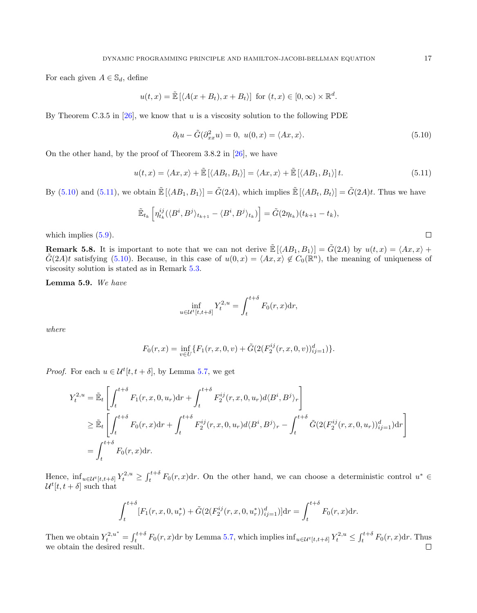For each given  $A \in \mathbb{S}_d$ , define

$$
u(t,x) = \tilde{\mathbb{E}}\left[ \langle A(x+B_t), x+B_t \rangle \right] \text{ for } (t,x) \in [0,\infty) \times \mathbb{R}^d.
$$

By Theorem C.3.5 in  $[26]$ , we know that u is a viscosity solution to the following PDE

<span id="page-16-0"></span>
$$
\partial_t u - \tilde{G}(\partial_{xx}^2 u) = 0, \ u(0, x) = \langle Ax, x \rangle.
$$
\n(5.10)

On the other hand, by the proof of Theorem 3.8.2 in [\[26\]](#page-20-4), we have

<span id="page-16-1"></span>
$$
u(t,x) = \langle Ax, x \rangle + \tilde{\mathbb{E}}\left[ \langle AB_t, B_t \rangle \right] = \langle Ax, x \rangle + \tilde{\mathbb{E}}\left[ \langle AB_1, B_1 \rangle \right] t. \tag{5.11}
$$

By [\(5.10\)](#page-16-0) and [\(5.11\)](#page-16-1), we obtain  $\mathbb{E}[\langle AB_1, B_1 \rangle] = \tilde{G}(2A)$ , which implies  $\mathbb{E}[\langle AB_t, B_t \rangle] = \tilde{G}(2A)t$ . Thus we have

$$
\tilde{\mathbb{E}}_{t_k}\left[\eta_{t_k}^{ij}(\langle B^i, B^j\rangle_{t_{k+1}} - \langle B^i, B^j\rangle_{t_k})\right] = \tilde{G}(2\eta_{t_k})(t_{k+1} - t_k),
$$

which implies  $(5.9)$ .

**Remark 5.8.** It is important to note that we can not derive  $\mathbb{E}[\langle AB_1, B_1 \rangle] = \tilde{G}(2A)$  by  $u(t, x) = \langle Ax, x \rangle +$  $\tilde{G}(2A)t$  satisfying [\(5.10\)](#page-16-0). Because, in this case of  $u(0,x) = \langle Ax, x \rangle \notin C_0(\mathbb{R}^n)$ , the meaning of uniqueness of viscosity solution is stated as in Remark [5.3.](#page-13-2)

<span id="page-16-2"></span>Lemma 5.9. We have

$$
\inf_{u \in \mathcal{U}^t[t, t+\delta]} Y_t^{2,u} = \int_t^{t+\delta} F_0(r, x) dr,
$$

where

$$
F_0(r, x) = \inf_{v \in U} \{ F_1(r, x, 0, v) + \tilde{G}(2(F_2^{ij}(r, x, 0, v))_{ij=1}^d) \}.
$$

*Proof.* For each  $u \in \mathcal{U}^t[t, t + \delta]$ , by Lemma [5.7,](#page-15-3) we get

$$
Y_{t}^{2,u} = \tilde{\mathbb{E}}_{t} \left[ \int_{t}^{t+\delta} F_{1}(r, x, 0, u_{r}) dr + \int_{t}^{t+\delta} F_{2}^{ij}(r, x, 0, u_{r}) d\langle B^{i}, B^{j} \rangle_{r} \right]
$$
  
\n
$$
\geq \tilde{\mathbb{E}}_{t} \left[ \int_{t}^{t+\delta} F_{0}(r, x) dr + \int_{t}^{t+\delta} F_{2}^{ij}(r, x, 0, u_{r}) d\langle B^{i}, B^{j} \rangle_{r} - \int_{t}^{t+\delta} \tilde{G}(2(F_{2}^{ij}(r, x, 0, u_{r}))_{ij=1}^{d}) dr \right]
$$
  
\n
$$
= \int_{t}^{t+\delta} F_{0}(r, x) dr.
$$

Hence,  $\inf_{u \in \mathcal{U}^t[t,t+\delta]} Y_t^{2,u} \geq \int_t^{t+\delta} F_0(r,x) dr$ . On the other hand, we can choose a deterministic control  $u^* \in$  $\mathcal{U}^{t}[t,t+\delta]$  such that

$$
\int_{t}^{t+\delta} [F_1(r, x, 0, u_r^*) + \tilde{G}(2(F_2^{ij}(r, x, 0, u_r^*))_{ij=1}^d)]dr = \int_{t}^{t+\delta} F_0(r, x)dr.
$$

Then we obtain  $Y_t^{2,u^*} = \int_t^{t+\delta} F_0(r,x) dr$  by Lemma [5.7,](#page-15-3) which implies  $\inf_{u \in \mathcal{U}^t[t,t+\delta]} Y_t^{2,u} \leq \int_t^{t+\delta} F_0(r,x) dr$ . Thus we obtain the desired result.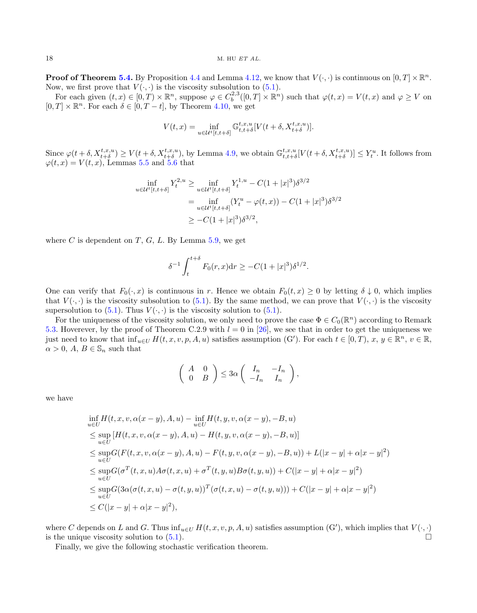**Proof of Theorem [5.4.](#page-13-3)** By Proposition [4.4](#page-6-2) and Lemma [4.12,](#page-12-4) we know that  $V(\cdot, \cdot)$  is continuous on  $[0, T] \times \mathbb{R}^n$ . Now, we first prove that  $V(\cdot, \cdot)$  is the viscosity subsolution to [\(5.1\)](#page-13-1).

For each given  $(t, x) \in [0, T) \times \mathbb{R}^n$ , suppose  $\varphi \in C_b^{2,3}([0, T] \times \mathbb{R}^n)$  such that  $\varphi(t, x) = V(t, x)$  and  $\varphi \geq V$  on  $[0, T] \times \mathbb{R}^n$ . For each  $\delta \in [0, T - t]$ , by Theorem [4.10,](#page-10-3) we get

$$
V(t,x) = \inf_{u \in \mathcal{U}^t[t, t+\delta]} \mathbb{G}^{t,x,u}_{t,t+\delta}[V(t+\delta, X^{t,x,u}_{t+\delta})].
$$

Since  $\varphi(t+\delta, X^{t,x,u}_{t+\delta}) \geq V(t+\delta, X^{t,x,u}_{t+\delta})$ , by Lemma [4.9,](#page-8-0) we obtain  $\mathbb{G}^{t,x,u}_{t,t+\delta}[V(t+\delta, X^{t,x,u}_{t+\delta})] \leq Y^u_t$ . It follows from  $\varphi(t, x) = V(t, x)$ , Lemmas [5.5](#page-14-3) and [5.6](#page-14-4) that

$$
\inf_{u \in \mathcal{U}^t[t, t+\delta]} Y_t^{2,u} \ge \inf_{u \in \mathcal{U}^t[t, t+\delta]} Y_t^{1,u} - C(1+|x|^3)\delta^{3/2}
$$
\n
$$
= \inf_{u \in \mathcal{U}^t[t, t+\delta]} (Y_t^u - \varphi(t, x)) - C(1+|x|^3)\delta^{3/2}
$$
\n
$$
\ge -C(1+|x|^3)\delta^{3/2},
$$

where C is dependent on T, G, L. By Lemma  $5.9$ , we get

$$
\delta^{-1} \int_{t}^{t+\delta} F_0(r,x) dr \geq -C(1+|x|^3) \delta^{1/2}.
$$

One can verify that  $F_0(\cdot, x)$  is continuous in r. Hence we obtain  $F_0(t, x) \ge 0$  by letting  $\delta \downarrow 0$ , which implies that  $V(\cdot, \cdot)$  is the viscosity subsolution to [\(5.1\)](#page-13-1). By the same method, we can prove that  $V(\cdot, \cdot)$  is the viscosity supersolution to  $(5.1)$ . Thus  $V(\cdot, \cdot)$  is the viscosity solution to  $(5.1)$ .

For the uniqueness of the viscosity solution, we only need to prove the case  $\Phi \in C_0(\mathbb{R}^n)$  according to Remark [5.3.](#page-13-2) Hoverever, by the proof of Theorem C.2.9 with  $l = 0$  in [\[26\]](#page-20-4), we see that in order to get the uniqueness we just need to know that  $\inf_{u \in U} H(t, x, v, p, A, u)$  satisfies assumption  $(G')$ . For each  $t \in [0, T)$ ,  $x, y \in \mathbb{R}^n$ ,  $v \in \mathbb{R}$ ,  $\alpha > 0$ ,  $A, B \in \mathbb{S}_n$  such that

$$
\left(\begin{array}{cc} A & 0 \\ 0 & B \end{array}\right) \leq 3\alpha \left(\begin{array}{cc} I_n & -I_n \\ -I_n & I_n \end{array}\right),
$$

we have

$$
\inf_{u \in U} H(t, x, v, \alpha(x - y), A, u) - \inf_{u \in U} H(t, y, v, \alpha(x - y), -B, u) \n\leq \sup_{u \in U} [H(t, x, v, \alpha(x - y), A, u) - H(t, y, v, \alpha(x - y), -B, u)] \n\leq \sup_{u \in U} G(F(t, x, v, \alpha(x - y), A, u) - F(t, y, v, \alpha(x - y), -B, u)) + L(|x - y| + \alpha|x - y|^2) \n\leq \sup_{u \in U} G(\sigma^T(t, x, u)A\sigma(t, x, u) + \sigma^T(t, y, u)B\sigma(t, y, u)) + C(|x - y| + \alpha|x - y|^2) \n\leq \sup_{u \in U} G(3\alpha(\sigma(t, x, u) - \sigma(t, y, u))^T(\sigma(t, x, u) - \sigma(t, y, u))) + C(|x - y| + \alpha|x - y|^2) \n\leq C(|x - y| + \alpha|x - y|^2),
$$

where C depends on L and G. Thus  $\inf_{u \in U} H(t, x, v, p, A, u)$  satisfies assumption  $(G')$ , which implies that  $V(\cdot, \cdot)$ is the unique viscosity solution to  $(5.1)$ .

Finally, we give the following stochastic verification theorem.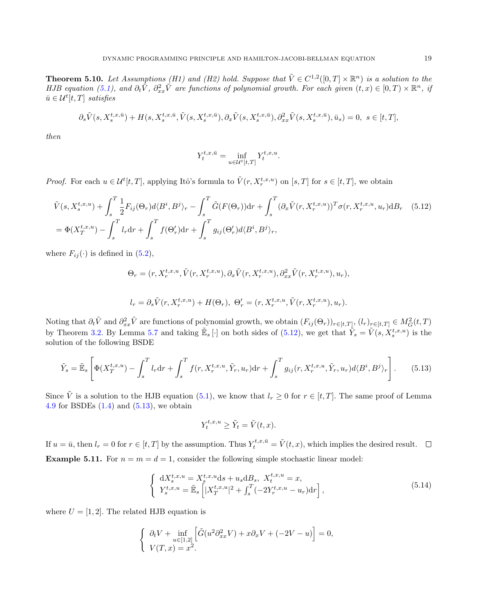<span id="page-18-2"></span>**Theorem 5.10.** Let Assumptions (H1) and (H2) hold. Suppose that  $\tilde{V} \in C^{1,2}([0,T] \times \mathbb{R}^n)$  is a solution to the HJB equation [\(5.1\)](#page-13-1), and  $\partial_t \tilde{V}$ ,  $\partial_{xx}^2 \tilde{V}$  are functions of polynomial growth. For each given  $(t, x) \in [0, T) \times \mathbb{R}^n$ , if  $\bar{u} \in \mathcal{U}^t[t,T]$  satisfies

$$
\partial_s \tilde{V}(s,X_s^{t,x,\bar{u}}) + H(s,X_s^{t,x,\bar{u}}, \tilde{V}(s,X_s^{t,x,\bar{u}}), \partial_x \tilde{V}(s,X_s^{t,x,\bar{u}}), \partial_{xx}^2 \tilde{V}(s,X_s^{t,x,\bar{u}}), \bar{u}_s) = 0, \ s \in [t,T],
$$

then

<span id="page-18-0"></span>
$$
Y_t^{t,x,\bar{u}} = \inf_{u \in \mathcal{U}^t[t,T]} Y_t^{t,x,u}.
$$

*Proof.* For each  $u \in \mathcal{U}^{t}[t, T]$ , applying Itô's formula to  $\tilde{V}(r, X_r^{t,x,u})$  on  $[s, T]$  for  $s \in [t, T]$ , we obtain

$$
\tilde{V}(s, X_s^{t,x,u}) + \int_s^T \frac{1}{2} F_{ij}(\Theta_r) d\langle B^i, B^j \rangle_r - \int_s^T \tilde{G}(F(\Theta_r)) \mathrm{d}r + \int_s^T (\partial_x \tilde{V}(r, X_r^{t,x,u}))^T \sigma(r, X_r^{t,x,u}, u_r) \mathrm{d}B_r \quad (5.12)
$$
\n
$$
= \Phi(X_T^{t,x,u}) - \int_s^T l_r \mathrm{d}r + \int_s^T f(\Theta_r') \mathrm{d}r + \int_s^T g_{ij}(\Theta_r') d\langle B^i, B^j \rangle_r,
$$

where  $F_{ij}(\cdot)$  is defined in [\(5.2\)](#page-13-4),

$$
\Theta_r = (r, X_r^{t,x,u}, \tilde{V}(r, X_r^{t,x,u}), \partial_x \tilde{V}(r, X_r^{t,x,u}), \partial_{xx}^2 \tilde{V}(r, X_r^{t,x,u}), u_r),
$$

$$
l_r = \partial_s \tilde{V}(r, X_r^{t,x,u}) + H(\Theta_r), \ \Theta'_r = (r, X_r^{t,x,u}, \tilde{V}(r, X_r^{t,x,u}), u_r).
$$

Noting that  $\partial_t \tilde{V}$  and  $\partial_{xx}^2 \tilde{V}$  are functions of polynomial growth, we obtain  $(F_{ij}(\Theta_r))_{r \in [t,T]}$ ,  $(l_r)_{r \in [t,T]} \in M_G^2(t,T)$ by Theorem [3.2.](#page-3-3) By Lemma [5.7](#page-15-3) and taking  $\mathbb{E}_s[\cdot]$  on both sides of  $(5.12)$ , we get that  $\tilde{Y}_s = \tilde{V}(s, X_s^{t,x,u})$  is the solution of the following BSDE

<span id="page-18-1"></span>
$$
\tilde{Y}_s = \tilde{\mathbb{E}}_s \left[ \Phi(X_T^{t,x,u}) - \int_s^T l_r dr + \int_s^T f(r, X_r^{t,x,u}, \tilde{Y}_r, u_r) dr + \int_s^T g_{ij}(r, X_r^{t,x,u}, \tilde{Y}_r, u_r) d\langle B^i, B^j \rangle_r \right].
$$
 (5.13)

Since  $\tilde{V}$  is a solution to the HJB equation [\(5.1\)](#page-13-1), we know that  $l_r \geq 0$  for  $r \in [t, T]$ . The same proof of Lemma [4.9](#page-8-0) for BSDEs  $(1.4)$  and  $(5.13)$ , we obtain

$$
Y_t^{t,x,u} \ge \tilde{Y}_t = \tilde{V}(t,x).
$$

If  $u = \bar{u}$ , then  $l_r = 0$  for  $r \in [t, T]$  by the assumption. Thus  $Y_t^{t, x, \bar{u}} = \tilde{V}(t, x)$ , which implies the desired result. **Example 5.11.** For  $n = m = d = 1$ , consider the following simple stochastic linear model:

<span id="page-18-3"></span>
$$
\begin{cases}\n\mathrm{d}X_{s}^{t,x,u} = X_{s}^{t,x,u} \mathrm{d}s + u_{s} \mathrm{d}B_{s}, \ X_{t}^{t,x,u} = x, \\
Y_{s}^{t,x,u} = \tilde{\mathbb{E}}_{s} \left[ |X_{T}^{t,x,u}|^{2} + \int_{s}^{T} (-2Y_{r}^{t,x,u} - u_{r}) \mathrm{d}r \right],\n\end{cases} \tag{5.14}
$$

where  $U = [1, 2]$ . The related HJB equation is

$$
\begin{cases} \partial_t V + \inf_{u \in [1,2]} \left[ \tilde{G}(u^2 \partial_{xx}^2 V) + x \partial_x V + (-2V - u) \right] = 0, \\ V(T, x) = x^2. \end{cases}
$$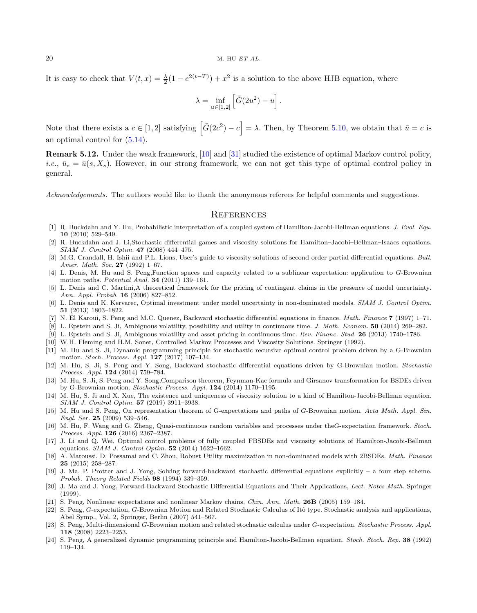It is easy to check that  $V(t, x) = \frac{\lambda}{2}(1 - e^{2(t-T)}) + x^2$  is a solution to the above HJB equation, where

$$
\lambda = \inf_{u \in [1,2]} \left[ \tilde G(2u^2) - u \right].
$$

Note that there exists a  $c \in [1,2]$  satisfying  $|\tilde{G}(2c^2) - c| = \lambda$ . Then, by Theorem [5.10,](#page-18-2) we obtain that  $\bar{u} = c$  is an optimal control for [\(5.14\)](#page-18-3).

Remark 5.12. Under the weak framework, [\[10\]](#page-19-23) and [\[31\]](#page-20-3) studied the existence of optimal Markov control policy, *i.e.*,  $\bar{u}_s = \bar{u}(s, X_s)$ . However, in our strong framework, we can not get this type of optimal control policy in general.

Acknowledgements. The authors would like to thank the anonymous referees for helpful comments and suggestions.

#### **REFERENCES**

- <span id="page-19-12"></span>[1] R. Buckdahn and Y. Hu, Probabilistic interpretation of a coupled system of Hamilton-Jacobi-Bellman equations. J. Evol. Equ. 10 (2010) 529–549.
- <span id="page-19-13"></span>[2] R. Buckdahn and J. Li,Stochastic differential games and viscosity solutions for Hamilton–Jacobi–Bellman–Isaacs equations. SIAM J. Control Optim. 47 (2008) 444–475.
- <span id="page-19-22"></span>[3] M.G. Crandall, H. Ishii and P.L. Lions, User's guide to viscosity solutions of second order partial differential equations. Bull. Amer. Math. Soc. 27 (1992) 1–67.
- <span id="page-19-2"></span>[4] L. Denis, M. Hu and S. Peng,Function spaces and capacity related to a sublinear expectation: application to G-Brownian motion paths. Potential Anal. 34 (2011) 139–161.
- <span id="page-19-5"></span>[5] L. Denis and C. Martini,A theoretical framework for the pricing of contingent claims in the presence of model uncertainty. Ann. Appl. Probab. 16 (2006) 827–852.
- <span id="page-19-7"></span>[6] L. Denis and K. Kervarec, Optimal investment under model uncertainty in non-dominated models. SIAM J. Control Optim. 51 (2013) 1803–1822.
- <span id="page-19-14"></span>[7] N. El Karoui, S. Peng and M.C. Quenez, Backward stochastic differential equations in finance. Math. Finance 7 (1997) 1–71.
- <span id="page-19-8"></span>[8] L. Epstein and S. Ji, Ambiguous volatility, possibility and utility in continuous time. J. Math. Econom. 50 (2014) 269–282.
- <span id="page-19-9"></span>[9] L. Epstein and S. Ji, Ambiguous volatility and asset pricing in continuous time. Rev. Financ. Stud. 26 (2013) 1740–1786.
- <span id="page-19-23"></span>[10] W.H. Fleming and H.M. Soner, Controlled Markov Processes and Viscosity Solutions. Springer (1992).
- <span id="page-19-6"></span>[11] M. Hu and S. Ji, Dynamic programming principle for stochastic recursive optimal control problem driven by a G-Brownian motion. Stoch. Process. Appl. 127 (2017) 107–134.
- <span id="page-19-4"></span>[12] M. Hu, S. Ji, S. Peng and Y. Song, Backward stochastic differential equations driven by G-Brownian motion. Stochastic Process. Appl. 124 (2014) 759–784.
- <span id="page-19-20"></span>[13] M. Hu, S. Ji, S. Peng and Y. Song,Comparison theorem, Feynman-Kac formula and Girsanov transformation for BSDEs driven by G-Brownian motion. Stochastic Process. Appl. 124 (2014) 1170–1195.
- <span id="page-19-15"></span>[14] M. Hu, S. Ji and X. Xue, The existence and uniqueness of viscosity solution to a kind of Hamilton-Jacobi-Bellman equation. SIAM J. Control Optim. 57 (2019) 3911–3938.
- <span id="page-19-3"></span>[15] M. Hu and S. Peng, On representation theorem of G-expectations and paths of G-Brownian motion. Acta Math. Appl. Sin. Engl. Ser. 25 (2009) 539–546.
- <span id="page-19-21"></span>[16] M. Hu, F. Wang and G. Zheng, Quasi-continuous random variables and processes under theG-expectation framework. Stoch. Process. Appl. 126 (2016) 2367–2387.
- <span id="page-19-16"></span>[17] J. Li and Q. Wei, Optimal control problems of fully coupled FBSDEs and viscosity solutions of Hamilton-Jacobi-Bellman equations. SIAM J. Control Optim. 52 (2014) 1622–1662.
- <span id="page-19-10"></span>[18] A. Matoussi, D. Possamai and C. Zhou, Robust Utility maximization in non-dominated models with 2BSDEs. Math. Finance 25 (2015) 258–287.
- <span id="page-19-17"></span>[19] J. Ma, P. Protter and J. Yong, Solving forward-backward stochastic differential equations explicitly – a four step scheme. Probab. Theory Related Fields 98 (1994) 339–359.
- <span id="page-19-18"></span>[20] J. Ma and J. Yong, Forward-Backward Stochastic Differential Equations and Their Applications, Lect. Notes Math. Springer (1999).
- <span id="page-19-0"></span>[21] S. Peng, Nonlinear expectations and nonlinear Markov chains. Chin. Ann. Math. 26B (2005) 159–184.
- <span id="page-19-19"></span>[22] S. Peng, G-expectation, G-Brownian Motion and Related Stochastic Calculus of Itô type. Stochastic analysis and applications, Abel Symp., Vol. 2, Springer, Berlin (2007) 541–567.
- <span id="page-19-1"></span>[23] S. Peng, Multi-dimensional G-Brownian motion and related stochastic calculus under G-expectation. Stochastic Process. Appl. 118 (2008) 2223–2253.
- <span id="page-19-11"></span>[24] S. Peng, A generalized dynamic programming principle and Hamilton-Jacobi-Bellmen equation. Stoch. Stoch. Rep. 38 (1992) 119–134.